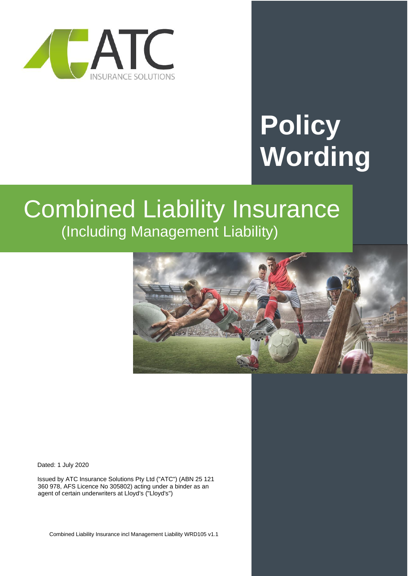

# **Policy Wording**

# Combined Liability Insurance (Including Management Liability)



Dated: 1 July 2020

Issued by ATC Insurance Solutions Pty Ltd ("ATC") (ABN 25 121 360 978, AFS Licence No 305802) acting under a binder as an agent of certain underwriters at Lloyd's ("Lloyd's")

Combined Liability Insurance incl Management Liability WRD105 v1.1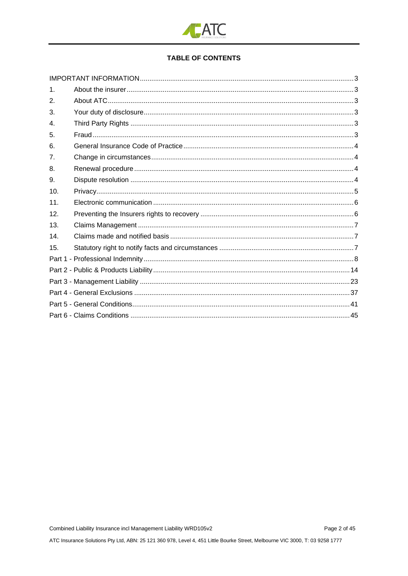

# **TABLE OF CONTENTS**

| 1 <sub>1</sub> |  |  |
|----------------|--|--|
| 2.             |  |  |
| 3.             |  |  |
| $\mathbf{4}$ . |  |  |
| 5.             |  |  |
| 6.             |  |  |
| 7.             |  |  |
| 8.             |  |  |
| 9.             |  |  |
| 10.            |  |  |
| 11.            |  |  |
| 12.            |  |  |
| 13.            |  |  |
| 14.            |  |  |
| 15.            |  |  |
|                |  |  |
|                |  |  |
|                |  |  |
|                |  |  |
|                |  |  |
|                |  |  |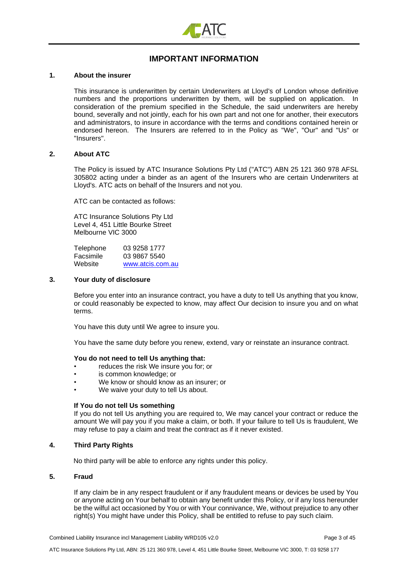

# **IMPORTANT INFORMATION**

#### <span id="page-2-1"></span><span id="page-2-0"></span>**1. About the insurer**

This insurance is underwritten by certain Underwriters at Lloyd's of London whose definitive numbers and the proportions underwritten by them, will be supplied on application. In consideration of the premium specified in the Schedule, the said underwriters are hereby bound, severally and not jointly, each for his own part and not one for another, their executors and administrators, to insure in accordance with the terms and conditions contained herein or endorsed hereon. The Insurers are referred to in the Policy as "We", "Our" and "Us" or "Insurers".

#### <span id="page-2-2"></span>**2. About ATC**

The Policy is issued by ATC Insurance Solutions Pty Ltd ("ATC") ABN 25 121 360 978 AFSL 305802 acting under a binder as an agent of the Insurers who are certain Underwriters at Lloyd's. ATC acts on behalf of the Insurers and not you.

ATC can be contacted as follows:

ATC Insurance Solutions Pty Ltd Level 4, 451 Little Bourke Street Melbourne VIC 3000

| Telephone | 03 9258 1777     |
|-----------|------------------|
| Facsimile | 03 9867 5540     |
| Website   | www.atcis.com.au |

#### <span id="page-2-3"></span>**3. Your duty of disclosure**

Before you enter into an insurance contract, you have a duty to tell Us anything that you know, or could reasonably be expected to know, may affect Our decision to insure you and on what terms.

You have this duty until We agree to insure you.

You have the same duty before you renew, extend, vary or reinstate an insurance contract.

#### **You do not need to tell Us anything that:**

- reduces the risk We insure you for; or
- is common knowledge; or
- We know or should know as an insurer; or
- We waive your duty to tell Us about.

#### **If You do not tell Us something**

If you do not tell Us anything you are required to, We may cancel your contract or reduce the amount We will pay you if you make a claim, or both. If your failure to tell Us is fraudulent, We may refuse to pay a claim and treat the contract as if it never existed.

#### <span id="page-2-4"></span>**4. Third Party Rights**

No third party will be able to enforce any rights under this policy.

#### <span id="page-2-5"></span>**5. Fraud**

If any claim be in any respect fraudulent or if any fraudulent means or devices be used by You or anyone acting on Your behalf to obtain any benefit under this Policy, or if any loss hereunder be the wilful act occasioned by You or with Your connivance, We, without prejudice to any other right(s) You might have under this Policy, shall be entitled to refuse to pay such claim.

Combined Liability Insurance incl Management Liability WRD105 v2.0 Page 3 of 45

ATC Insurance Solutions Pty Ltd, ABN: 25 121 360 978, Level 4, 451 Little Bourke Street, Melbourne VIC 3000, T: 03 9258 177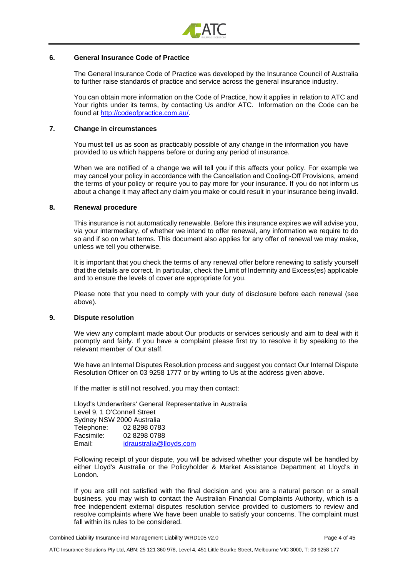

#### <span id="page-3-0"></span>**6. General Insurance Code of Practice**

The General Insurance Code of Practice was developed by the Insurance Council of Australia to further raise standards of practice and service across the general insurance industry.

You can obtain more information on the Code of Practice, how it applies in relation to ATC and Your rights under its terms, by contacting Us and/or ATC. Information on the Code can be found at [http://codeofpractice.com.au/.](http://codeofpractice.com.au/)

#### <span id="page-3-1"></span>**7. Change in circumstances**

You must tell us as soon as practicably possible of any change in the information you have provided to us which happens before or during any period of insurance.

When we are notified of a change we will tell you if this affects your policy. For example we may cancel your policy in accordance with the Cancellation and Cooling-Off Provisions, amend the terms of your policy or require you to pay more for your insurance. If you do not inform us about a change it may affect any claim you make or could result in your insurance being invalid.

#### <span id="page-3-2"></span>**8. Renewal procedure**

This insurance is not automatically renewable. Before this insurance expires we will advise you, via your intermediary, of whether we intend to offer renewal, any information we require to do so and if so on what terms. This document also applies for any offer of renewal we may make, unless we tell you otherwise.

It is important that you check the terms of any renewal offer before renewing to satisfy yourself that the details are correct. In particular, check the Limit of Indemnity and Excess(es) applicable and to ensure the levels of cover are appropriate for you.

Please note that you need to comply with your duty of disclosure before each renewal (see above).

#### <span id="page-3-3"></span>**9. Dispute resolution**

We view any complaint made about Our products or services seriously and aim to deal with it promptly and fairly. If you have a complaint please first try to resolve it by speaking to the relevant member of Our staff.

We have an Internal Disputes Resolution process and suggest you contact Our Internal Dispute Resolution Officer on 03 9258 1777 or by writing to Us at the address given above.

If the matter is still not resolved, you may then contact:

Lloyd's Underwriters' General Representative in Australia Level 9, 1 O'Connell Street Sydney NSW 2000 Australia Telephone: 02 8298 0783 Facsimile: 02 8298 0788 Email: [idraustralia@lloyds.com](mailto:idraustralia@lloyds.com)

Following receipt of your dispute, you will be advised whether your dispute will be handled by either Lloyd's Australia or the Policyholder & Market Assistance Department at Lloyd's in London.

If you are still not satisfied with the final decision and you are a natural person or a small business, you may wish to contact the Australian Financial Complaints Authority, which is a free independent external disputes resolution service provided to customers to review and resolve complaints where We have been unable to satisfy your concerns. The complaint must fall within its rules to be considered.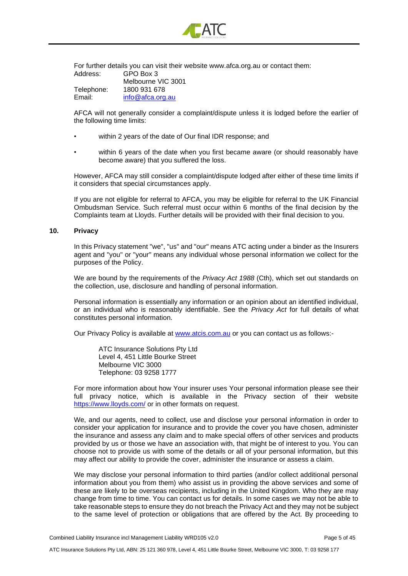

For further details you can visit their website www.afca.org.au or contact them: Address: GPO Box 3 Melbourne VIC 3001

Telephone: 1800 931 678 Email: [info@afca.org.au](mailto:info@afca.org.au)

AFCA will not generally consider a complaint/dispute unless it is lodged before the earlier of the following time limits:

- within 2 years of the date of Our final IDR response; and
- within 6 years of the date when you first became aware (or should reasonably have become aware) that you suffered the loss.

However, AFCA may still consider a complaint/dispute lodged after either of these time limits if it considers that special circumstances apply.

If you are not eligible for referral to AFCA, you may be eligible for referral to the UK Financial Ombudsman Service. Such referral must occur within 6 months of the final decision by the Complaints team at Lloyds. Further details will be provided with their final decision to you.

#### <span id="page-4-0"></span>**10. Privacy**

In this Privacy statement "we", "us" and "our" means ATC acting under a binder as the Insurers agent and "you" or "your" means any individual whose personal information we collect for the purposes of the Policy.

We are bound by the requirements of the *Privacy Act 1988* (Cth), which set out standards on the collection, use, disclosure and handling of personal information.

Personal information is essentially any information or an opinion about an identified individual, or an individual who is reasonably identifiable. See the *Privacy Act* for full details of what constitutes personal information.

Our Privacy Policy is available at [www.atcis.com.au](http://www.atcis.com.au/) or you can contact us as follows:-

ATC Insurance Solutions Pty Ltd Level 4, 451 Little Bourke Street Melbourne VIC 3000 Telephone: 03 9258 1777

For more information about how Your insurer uses Your personal information please see their full privacy notice, which is available in the Privacy section of their website <https://www.lloyds.com/> or in other formats on request.

We, and our agents, need to collect, use and disclose your personal information in order to consider your application for insurance and to provide the cover you have chosen, administer the insurance and assess any claim and to make special offers of other services and products provided by us or those we have an association with, that might be of interest to you. You can choose not to provide us with some of the details or all of your personal information, but this may affect our ability to provide the cover, administer the insurance or assess a claim.

We may disclose your personal information to third parties (and/or collect additional personal information about you from them) who assist us in providing the above services and some of these are likely to be overseas recipients, including in the United Kingdom. Who they are may change from time to time. You can contact us for details. In some cases we may not be able to take reasonable steps to ensure they do not breach the Privacy Act and they may not be subject to the same level of protection or obligations that are offered by the Act. By proceeding to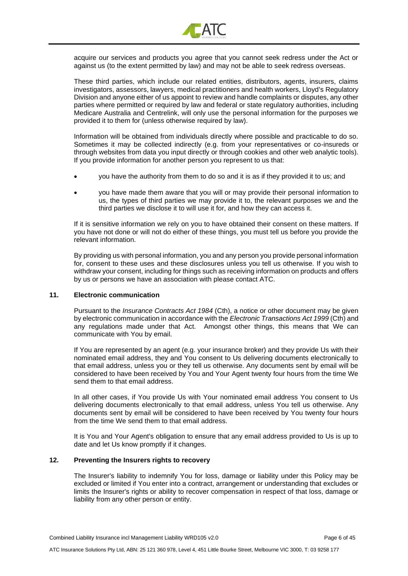

acquire our services and products you agree that you cannot seek redress under the Act or against us (to the extent permitted by law) and may not be able to seek redress overseas.

These third parties, which include our related entities, distributors, agents, insurers, claims investigators, assessors, lawyers, medical practitioners and health workers, Lloyd's Regulatory Division and anyone either of us appoint to review and handle complaints or disputes, any other parties where permitted or required by law and federal or state regulatory authorities, including Medicare Australia and Centrelink, will only use the personal information for the purposes we provided it to them for (unless otherwise required by law).

Information will be obtained from individuals directly where possible and practicable to do so. Sometimes it may be collected indirectly (e.g. from your representatives or co-insureds or through websites from data you input directly or through cookies and other web analytic tools). If you provide information for another person you represent to us that:

- you have the authority from them to do so and it is as if they provided it to us; and
- you have made them aware that you will or may provide their personal information to us, the types of third parties we may provide it to, the relevant purposes we and the third parties we disclose it to will use it for, and how they can access it.

If it is sensitive information we rely on you to have obtained their consent on these matters. If you have not done or will not do either of these things, you must tell us before you provide the relevant information.

By providing us with personal information, you and any person you provide personal information for, consent to these uses and these disclosures unless you tell us otherwise. If you wish to withdraw your consent, including for things such as receiving information on products and offers by us or persons we have an association with please contact ATC.

#### <span id="page-5-0"></span>**11. Electronic communication**

Pursuant to the *Insurance Contracts Act 1984* (Cth), a notice or other document may be given by electronic communication in accordance with the *Electronic Transactions Act 1999* (Cth) and any regulations made under that Act. Amongst other things, this means that We can communicate with You by email.

If You are represented by an agent (e.g. your insurance broker) and they provide Us with their nominated email address, they and You consent to Us delivering documents electronically to that email address, unless you or they tell us otherwise. Any documents sent by email will be considered to have been received by You and Your Agent twenty four hours from the time We send them to that email address.

In all other cases, if You provide Us with Your nominated email address You consent to Us delivering documents electronically to that email address, unless You tell us otherwise. Any documents sent by email will be considered to have been received by You twenty four hours from the time We send them to that email address.

It is You and Your Agent's obligation to ensure that any email address provided to Us is up to date and let Us know promptly if it changes.

#### <span id="page-5-1"></span>**12. Preventing the Insurers rights to recovery**

The Insurer's liability to indemnify You for loss, damage or liability under this Policy may be excluded or limited if You enter into a contract, arrangement or understanding that excludes or limits the Insurer's rights or ability to recover compensation in respect of that loss, damage or liability from any other person or entity.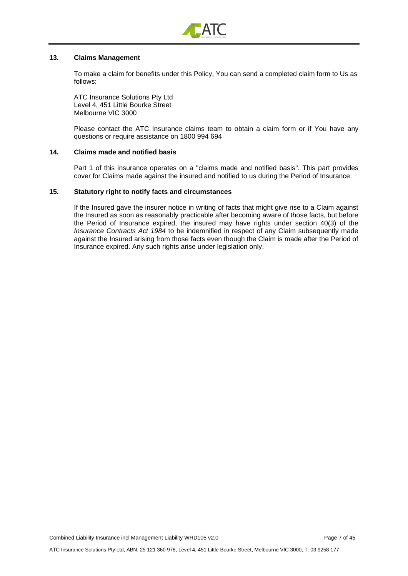

#### <span id="page-6-0"></span>**13. Claims Management**

To make a claim for benefits under this Policy, You can send a completed claim form to Us as follows:

ATC Insurance Solutions Pty Ltd Level 4, 451 Little Bourke Street Melbourne VIC 3000

Please contact the ATC Insurance claims team to obtain a claim form or if You have any questions or require assistance on 1800 994 694

#### <span id="page-6-1"></span>**14. Claims made and notified basis**

Part 1 of this insurance operates on a "claims made and notified basis". This part provides cover for Claims made against the insured and notified to us during the Period of Insurance.

#### <span id="page-6-2"></span>**15. Statutory right to notify facts and circumstances**

If the Insured gave the insurer notice in writing of facts that might give rise to a Claim against the Insured as soon as reasonably practicable after becoming aware of those facts, but before the Period of Insurance expired, the insured may have rights under section 40(3) of the *Insurance Contracts Act 1984* to be indemnified in respect of any Claim subsequently made against the Insured arising from those facts even though the Claim is made after the Period of Insurance expired. Any such rights arise under legislation only.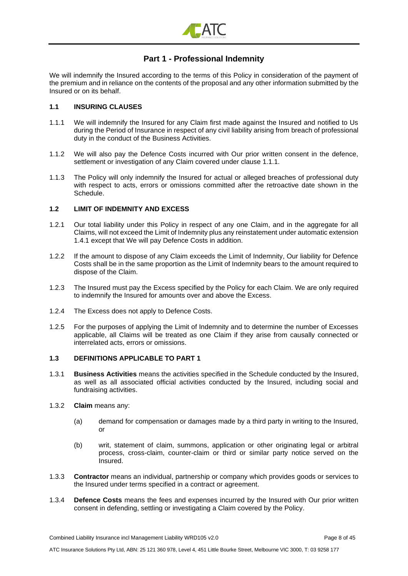

# **Part 1 - Professional Indemnity**

<span id="page-7-0"></span>We will indemnify the Insured according to the terms of this Policy in consideration of the payment of the premium and in reliance on the contents of the proposal and any other information submitted by the Insured or on its behalf.

### **1.1 INSURING CLAUSES**

- 1.1.1 We will indemnify the Insured for any Claim first made against the Insured and notified to Us during the Period of Insurance in respect of any civil liability arising from breach of professional duty in the conduct of the Business Activities.
- 1.1.2 We will also pay the Defence Costs incurred with Our prior written consent in the defence, settlement or investigation of any Claim covered under clause 1.1.1.
- 1.1.3 The Policy will only indemnify the Insured for actual or alleged breaches of professional duty with respect to acts, errors or omissions committed after the retroactive date shown in the Schedule.

#### **1.2 LIMIT OF INDEMNITY AND EXCESS**

- 1.2.1 Our total liability under this Policy in respect of any one Claim, and in the aggregate for all Claims, will not exceed the Limit of Indemnity plus any reinstatement under automatic extension 1.4.1 except that We will pay Defence Costs in addition.
- 1.2.2 If the amount to dispose of any Claim exceeds the Limit of Indemnity, Our liability for Defence Costs shall be in the same proportion as the Limit of Indemnity bears to the amount required to dispose of the Claim.
- 1.2.3 The Insured must pay the Excess specified by the Policy for each Claim. We are only required to indemnify the Insured for amounts over and above the Excess.
- 1.2.4 The Excess does not apply to Defence Costs.
- 1.2.5 For the purposes of applying the Limit of Indemnity and to determine the number of Excesses applicable, all Claims will be treated as one Claim if they arise from causally connected or interrelated acts, errors or omissions.

#### **1.3 DEFINITIONS APPLICABLE TO PART 1**

- 1.3.1 **Business Activities** means the activities specified in the Schedule conducted by the Insured, as well as all associated official activities conducted by the Insured, including social and fundraising activities.
- 1.3.2 **Claim** means any:
	- (a) demand for compensation or damages made by a third party in writing to the Insured, or
	- (b) writ, statement of claim, summons, application or other originating legal or arbitral process, cross-claim, counter-claim or third or similar party notice served on the Insured.
- 1.3.3 **Contractor** means an individual, partnership or company which provides goods or services to the Insured under terms specified in a contract or agreement.
- 1.3.4 **Defence Costs** means the fees and expenses incurred by the Insured with Our prior written consent in defending, settling or investigating a Claim covered by the Policy.

ATC Insurance Solutions Pty Ltd, ABN: 25 121 360 978, Level 4, 451 Little Bourke Street, Melbourne VIC 3000, T: 03 9258 177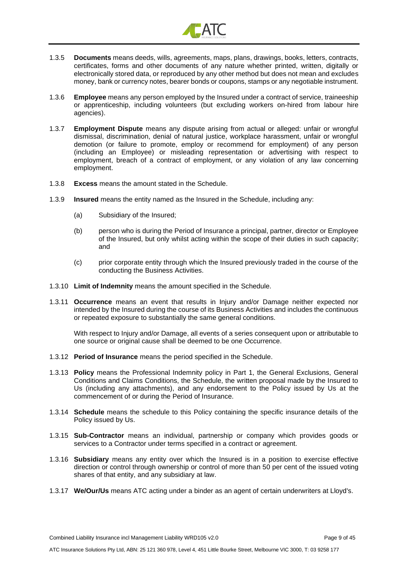

- 1.3.5 **Documents** means deeds, wills, agreements, maps, plans, drawings, books, letters, contracts, certificates, forms and other documents of any nature whether printed, written, digitally or electronically stored data, or reproduced by any other method but does not mean and excludes money, bank or currency notes, bearer bonds or coupons, stamps or any negotiable instrument.
- 1.3.6 **Employee** means any person employed by the Insured under a contract of service, traineeship or apprenticeship, including volunteers (but excluding workers on-hired from labour hire agencies).
- 1.3.7 **Employment Dispute** means any dispute arising from actual or alleged: unfair or wrongful dismissal, discrimination, denial of natural justice, workplace harassment, unfair or wrongful demotion (or failure to promote, employ or recommend for employment) of any person (including an Employee) or misleading representation or advertising with respect to employment, breach of a contract of employment, or any violation of any law concerning employment.
- 1.3.8 **Excess** means the amount stated in the Schedule.
- 1.3.9 **Insured** means the entity named as the Insured in the Schedule, including any:
	- (a) Subsidiary of the Insured;
	- (b) person who is during the Period of Insurance a principal, partner, director or Employee of the Insured, but only whilst acting within the scope of their duties in such capacity; and
	- (c) prior corporate entity through which the Insured previously traded in the course of the conducting the Business Activities.
- 1.3.10 **Limit of Indemnity** means the amount specified in the Schedule.
- 1.3.11 **Occurrence** means an event that results in Injury and/or Damage neither expected nor intended by the Insured during the course of its Business Activities and includes the continuous or repeated exposure to substantially the same general conditions.

With respect to Injury and/or Damage, all events of a series consequent upon or attributable to one source or original cause shall be deemed to be one Occurrence.

- 1.3.12 **Period of Insurance** means the period specified in the Schedule.
- 1.3.13 **Policy** means the Professional Indemnity policy in Part 1, the General Exclusions, General Conditions and Claims Conditions, the Schedule, the written proposal made by the Insured to Us (including any attachments), and any endorsement to the Policy issued by Us at the commencement of or during the Period of Insurance.
- 1.3.14 **Schedule** means the schedule to this Policy containing the specific insurance details of the Policy issued by Us.
- 1.3.15 **Sub-Contractor** means an individual, partnership or company which provides goods or services to a Contractor under terms specified in a contract or agreement.
- 1.3.16 **Subsidiary** means any entity over which the Insured is in a position to exercise effective direction or control through ownership or control of more than 50 per cent of the issued voting shares of that entity, and any subsidiary at law.
- 1.3.17 **We/Our/Us** means ATC acting under a binder as an agent of certain underwriters at Lloyd's.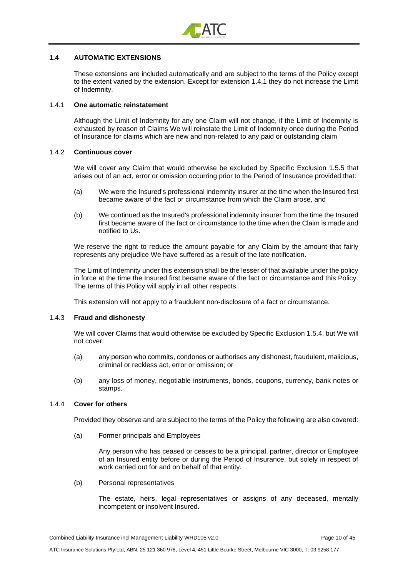

#### **1.4 AUTOMATIC EXTENSIONS**

These extensions are included automatically and are subject to the terms of the Policy except to the extent varied by the extension. Except for extension 1.4.1 they do not increase the Limit of Indemnity.

#### 1.4.1 **One automatic reinstatement**

Although the Limit of Indemnity for any one Claim will not change, if the Limit of Indemnity is exhausted by reason of Claims We will reinstate the Limit of Indemnity once during the Period of Insurance for claims which are new and non-related to any paid or outstanding claim

#### 1.4.2 **Continuous cover**

We will cover any Claim that would otherwise be excluded by Specific Exclusion 1.5.5 that arises out of an act, error or omission occurring prior to the Period of Insurance provided that:

- (a) We were the Insured's professional indemnity insurer at the time when the Insured first became aware of the fact or circumstance from which the Claim arose, and
- (b) We continued as the Insured's professional indemnity insurer from the time the Insured first became aware of the fact or circumstance to the time when the Claim is made and notified to Us.

We reserve the right to reduce the amount payable for any Claim by the amount that fairly represents any prejudice We have suffered as a result of the late notification.

The Limit of Indemnity under this extension shall be the lesser of that available under the policy in force at the time the Insured first became aware of the fact or circumstance and this Policy. The terms of this Policy will apply in all other respects.

This extension will not apply to a fraudulent non-disclosure of a fact or circumstance.

#### 1.4.3 **Fraud and dishonesty**

We will cover Claims that would otherwise be excluded by Specific Exclusion 1.5.4, but We will not cover:

- (a) any person who commits, condones or authorises any dishonest, fraudulent, malicious, criminal or reckless act, error or omission; or
- (b) any loss of money, negotiable instruments, bonds, coupons, currency, bank notes or stamps.

#### 1.4.4 **Cover for others**

Provided they observe and are subject to the terms of the Policy the following are also covered:

(a) Former principals and Employees

Any person who has ceased or ceases to be a principal, partner, director or Employee of an Insured entity before or during the Period of Insurance, but solely in respect of work carried out for and on behalf of that entity.

(b) Personal representatives

The estate, heirs, legal representatives or assigns of any deceased, mentally incompetent or insolvent Insured.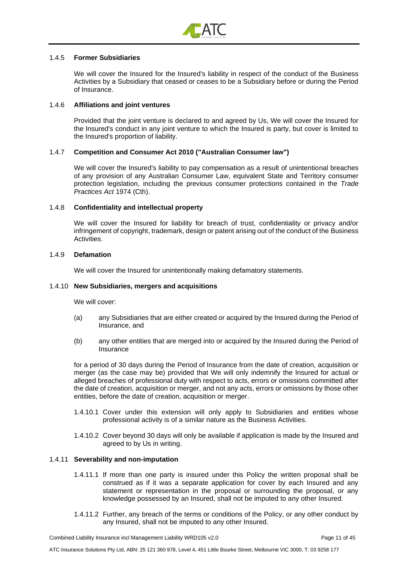

#### 1.4.5 **Former Subsidiaries**

We will cover the Insured for the Insured's liability in respect of the conduct of the Business Activities by a Subsidiary that ceased or ceases to be a Subsidiary before or during the Period of Insurance.

#### 1.4.6 **Affiliations and joint ventures**

Provided that the joint venture is declared to and agreed by Us, We will cover the Insured for the Insured's conduct in any joint venture to which the Insured is party, but cover is limited to the Insured's proportion of liability.

#### 1.4.7 **Competition and Consumer Act 2010 ("Australian Consumer law")**

We will cover the Insured's liability to pay compensation as a result of unintentional breaches of any provision of any Australian Consumer Law, equivalent State and Territory consumer protection legislation, including the previous consumer protections contained in the *Trade Practices Act* 1974 (Cth).

#### 1.4.8 **Confidentiality and intellectual property**

We will cover the Insured for liability for breach of trust, confidentiality or privacy and/or infringement of copyright, trademark, design or patent arising out of the conduct of the Business **Activities** 

#### 1.4.9 **Defamation**

We will cover the Insured for unintentionally making defamatory statements.

#### 1.4.10 **New Subsidiaries, mergers and acquisitions**

We will cover:

- (a) any Subsidiaries that are either created or acquired by the Insured during the Period of Insurance, and
- (b) any other entities that are merged into or acquired by the Insured during the Period of **Insurance**

for a period of 30 days during the Period of Insurance from the date of creation, acquisition or merger (as the case may be) provided that We will only indemnify the Insured for actual or alleged breaches of professional duty with respect to acts, errors or omissions committed after the date of creation, acquisition or merger, and not any acts, errors or omissions by those other entities, before the date of creation, acquisition or merger.

- 1.4.10.1 Cover under this extension will only apply to Subsidiaries and entities whose professional activity is of a similar nature as the Business Activities.
- 1.4.10.2 Cover beyond 30 days will only be available if application is made by the Insured and agreed to by Us in writing.

#### 1.4.11 **Severability and non-imputation**

- 1.4.11.1 If more than one party is insured under this Policy the written proposal shall be construed as if it was a separate application for cover by each Insured and any statement or representation in the proposal or surrounding the proposal, or any knowledge possessed by an Insured, shall not be imputed to any other Insured.
- 1.4.11.2 Further, any breach of the terms or conditions of the Policy, or any other conduct by any Insured, shall not be imputed to any other Insured.

Combined Liability Insurance incl Management Liability WRD105 v2.0 Page 11 of 45

ATC Insurance Solutions Pty Ltd, ABN: 25 121 360 978, Level 4, 451 Little Bourke Street, Melbourne VIC 3000, T: 03 9258 177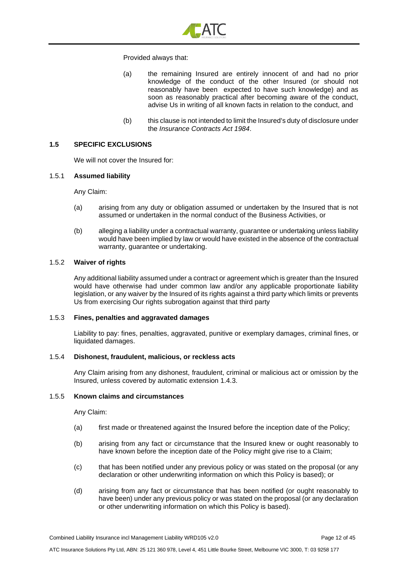

#### Provided always that:

- (a) the remaining Insured are entirely innocent of and had no prior knowledge of the conduct of the other Insured (or should not reasonably have been expected to have such knowledge) and as soon as reasonably practical after becoming aware of the conduct, advise Us in writing of all known facts in relation to the conduct, and
- (b) this clause is not intended to limit the Insured's duty of disclosure under the *Insurance Contracts Act 1984*.

#### **1.5 SPECIFIC EXCLUSIONS**

We will not cover the Insured for:

#### 1.5.1 **Assumed liability**

Any Claim:

- (a) arising from any duty or obligation assumed or undertaken by the Insured that is not assumed or undertaken in the normal conduct of the Business Activities, or
- (b) alleging a liability under a contractual warranty, guarantee or undertaking unless liability would have been implied by law or would have existed in the absence of the contractual warranty, guarantee or undertaking.

#### 1.5.2 **Waiver of rights**

Any additional liability assumed under a contract or agreement which is greater than the Insured would have otherwise had under common law and/or any applicable proportionate liability legislation, or any waiver by the Insured of its rights against a third party which limits or prevents Us from exercising Our rights subrogation against that third party

#### 1.5.3 **Fines, penalties and aggravated damages**

Liability to pay: fines, penalties, aggravated, punitive or exemplary damages, criminal fines, or liquidated damages.

#### 1.5.4 **Dishonest, fraudulent, malicious, or reckless acts**

Any Claim arising from any dishonest, fraudulent, criminal or malicious act or omission by the Insured, unless covered by automatic extension 1.4.3.

#### 1.5.5 **Known claims and circumstances**

Any Claim:

- (a) first made or threatened against the Insured before the inception date of the Policy;
- (b) arising from any fact or circumstance that the Insured knew or ought reasonably to have known before the inception date of the Policy might give rise to a Claim;
- (c) that has been notified under any previous policy or was stated on the proposal (or any declaration or other underwriting information on which this Policy is based); or
- (d) arising from any fact or circumstance that has been notified (or ought reasonably to have been) under any previous policy or was stated on the proposal (or any declaration or other underwriting information on which this Policy is based).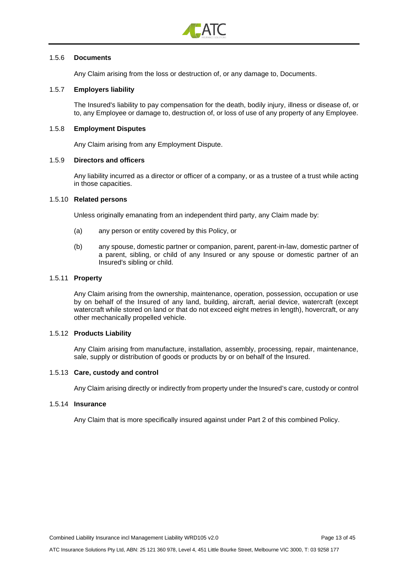

#### 1.5.6 **Documents**

Any Claim arising from the loss or destruction of, or any damage to, Documents.

#### 1.5.7 **Employers liability**

The Insured's liability to pay compensation for the death, bodily injury, illness or disease of, or to, any Employee or damage to, destruction of, or loss of use of any property of any Employee.

#### 1.5.8 **Employment Disputes**

Any Claim arising from any Employment Dispute.

#### 1.5.9 **Directors and officers**

Any liability incurred as a director or officer of a company, or as a trustee of a trust while acting in those capacities.

#### 1.5.10 **Related persons**

Unless originally emanating from an independent third party, any Claim made by:

- (a) any person or entity covered by this Policy, or
- (b) any spouse, domestic partner or companion, parent, parent-in-law, domestic partner of a parent, sibling, or child of any Insured or any spouse or domestic partner of an Insured's sibling or child.

#### 1.5.11 **Property**

Any Claim arising from the ownership, maintenance, operation, possession, occupation or use by on behalf of the Insured of any land, building, aircraft, aerial device, watercraft (except watercraft while stored on land or that do not exceed eight metres in length), hovercraft, or any other mechanically propelled vehicle.

#### 1.5.12 **Products Liability**

Any Claim arising from manufacture, installation, assembly, processing, repair, maintenance, sale, supply or distribution of goods or products by or on behalf of the Insured.

#### 1.5.13 **Care, custody and control**

Any Claim arising directly or indirectly from property under the Insured's care, custody or control

#### 1.5.14 **Insurance**

Any Claim that is more specifically insured against under Part 2 of this combined Policy.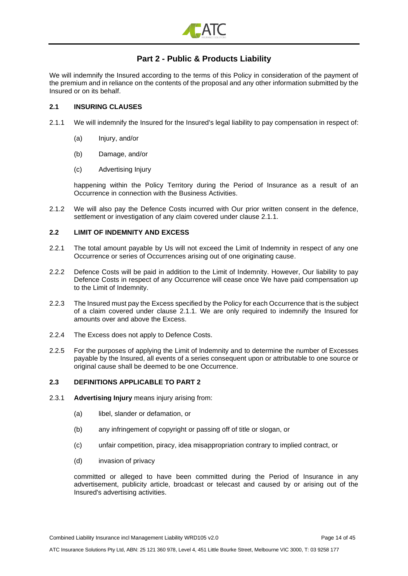

# **Part 2 - Public & Products Liability**

<span id="page-13-0"></span>We will indemnify the Insured according to the terms of this Policy in consideration of the payment of the premium and in reliance on the contents of the proposal and any other information submitted by the Insured or on its behalf.

#### **2.1 INSURING CLAUSES**

- 2.1.1 We will indemnify the Insured for the Insured's legal liability to pay compensation in respect of:
	- (a) Injury, and/or
	- (b) Damage, and/or
	- (c) Advertising Injury

happening within the Policy Territory during the Period of Insurance as a result of an Occurrence in connection with the Business Activities.

2.1.2 We will also pay the Defence Costs incurred with Our prior written consent in the defence, settlement or investigation of any claim covered under clause 2.1.1.

#### **2.2 LIMIT OF INDEMNITY AND EXCESS**

- 2.2.1 The total amount payable by Us will not exceed the Limit of Indemnity in respect of any one Occurrence or series of Occurrences arising out of one originating cause.
- 2.2.2 Defence Costs will be paid in addition to the Limit of Indemnity. However, Our liability to pay Defence Costs in respect of any Occurrence will cease once We have paid compensation up to the Limit of Indemnity.
- 2.2.3 The Insured must pay the Excess specified by the Policy for each Occurrence that is the subject of a claim covered under clause 2.1.1. We are only required to indemnify the Insured for amounts over and above the Excess.
- 2.2.4 The Excess does not apply to Defence Costs.
- 2.2.5 For the purposes of applying the Limit of Indemnity and to determine the number of Excesses payable by the Insured, all events of a series consequent upon or attributable to one source or original cause shall be deemed to be one Occurrence.

#### **2.3 DEFINITIONS APPLICABLE TO PART 2**

- 2.3.1 **Advertising Injury** means injury arising from:
	- (a) libel, slander or defamation, or
	- (b) any infringement of copyright or passing off of title or slogan, or
	- (c) unfair competition, piracy, idea misappropriation contrary to implied contract, or
	- (d) invasion of privacy

committed or alleged to have been committed during the Period of Insurance in any advertisement, publicity article, broadcast or telecast and caused by or arising out of the Insured's advertising activities.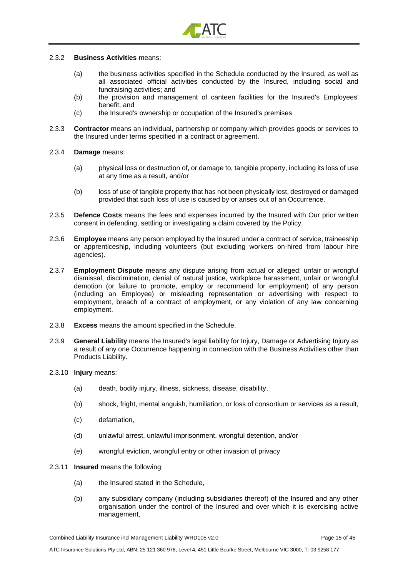

#### 2.3.2 **Business Activities** means:

- (a) the business activities specified in the Schedule conducted by the Insured, as well as all associated official activities conducted by the Insured, including social and fundraising activities; and
- (b) the provision and management of canteen facilities for the Insured's Employees' benefit; and
- (c) the Insured's ownership or occupation of the Insured's premises
- 2.3.3 **Contractor** means an individual, partnership or company which provides goods or services to the Insured under terms specified in a contract or agreement.
- 2.3.4 **Damage** means:
	- (a) physical loss or destruction of, or damage to, tangible property, including its loss of use at any time as a result, and/or
	- (b) loss of use of tangible property that has not been physically lost, destroyed or damaged provided that such loss of use is caused by or arises out of an Occurrence.
- 2.3.5 **Defence Costs** means the fees and expenses incurred by the Insured with Our prior written consent in defending, settling or investigating a claim covered by the Policy.
- 2.3.6 **Employee** means any person employed by the Insured under a contract of service, traineeship or apprenticeship, including volunteers (but excluding workers on-hired from labour hire agencies).
- 2.3.7 **Employment Dispute** means any dispute arising from actual or alleged: unfair or wrongful dismissal, discrimination, denial of natural justice, workplace harassment, unfair or wrongful demotion (or failure to promote, employ or recommend for employment) of any person (including an Employee) or misleading representation or advertising with respect to employment, breach of a contract of employment, or any violation of any law concerning employment.
- 2.3.8 **Excess** means the amount specified in the Schedule.
- 2.3.9 **General Liability** means the Insured's legal liability for Injury, Damage or Advertising Injury as a result of any one Occurrence happening in connection with the Business Activities other than Products Liability.
- 2.3.10 **Injury** means:
	- (a) death, bodily injury, illness, sickness, disease, disability,
	- (b) shock, fright, mental anguish, humiliation, or loss of consortium or services as a result,
	- (c) defamation,
	- (d) unlawful arrest, unlawful imprisonment, wrongful detention, and/or
	- (e) wrongful eviction, wrongful entry or other invasion of privacy
- 2.3.11 **Insured** means the following:
	- (a) the Insured stated in the Schedule,
	- (b) any subsidiary company (including subsidiaries thereof) of the Insured and any other organisation under the control of the Insured and over which it is exercising active management,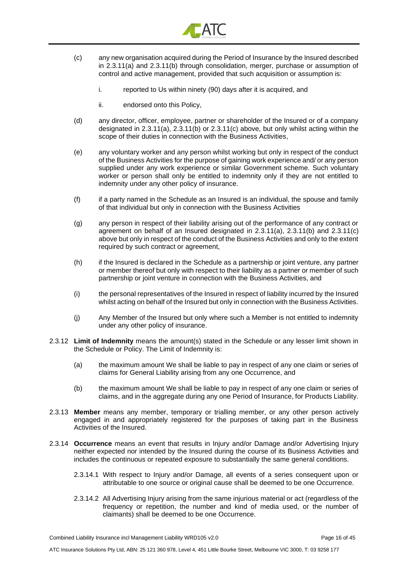

- (c) any new organisation acquired during the Period of Insurance by the Insured described in 2.3.11(a) and 2.3.11(b) through consolidation, merger, purchase or assumption of control and active management, provided that such acquisition or assumption is:
	- i. reported to Us within ninety (90) days after it is acquired, and
	- ii. endorsed onto this Policy,
- (d) any director, officer, employee, partner or shareholder of the Insured or of a company designated in 2.3.11(a), 2.3.11(b) or 2.3.11(c) above, but only whilst acting within the scope of their duties in connection with the Business Activities,
- (e) any voluntary worker and any person whilst working but only in respect of the conduct of the Business Activities for the purpose of gaining work experience and/ or any person supplied under any work experience or similar Government scheme. Such voluntary worker or person shall only be entitled to indemnity only if they are not entitled to indemnity under any other policy of insurance.
- (f) if a party named in the Schedule as an Insured is an individual, the spouse and family of that individual but only in connection with the Business Activities
- (g) any person in respect of their liability arising out of the performance of any contract or agreement on behalf of an Insured designated in 2.3.11(a), 2.3.11(b) and 2.3.11(c) above but only in respect of the conduct of the Business Activities and only to the extent required by such contract or agreement,
- (h) if the Insured is declared in the Schedule as a partnership or joint venture, any partner or member thereof but only with respect to their liability as a partner or member of such partnership or joint venture in connection with the Business Activities, and
- (i) the personal representatives of the Insured in respect of liability incurred by the Insured whilst acting on behalf of the Insured but only in connection with the Business Activities.
- (j) Any Member of the Insured but only where such a Member is not entitled to indemnity under any other policy of insurance.
- 2.3.12 **Limit of Indemnity** means the amount(s) stated in the Schedule or any lesser limit shown in the Schedule or Policy. The Limit of Indemnity is:
	- (a) the maximum amount We shall be liable to pay in respect of any one claim or series of claims for General Liability arising from any one Occurrence, and
	- (b) the maximum amount We shall be liable to pay in respect of any one claim or series of claims, and in the aggregate during any one Period of Insurance, for Products Liability.
- 2.3.13 **Member** means any member, temporary or trialling member, or any other person actively engaged in and appropriately registered for the purposes of taking part in the Business Activities of the Insured.
- 2.3.14 **Occurrence** means an event that results in Injury and/or Damage and/or Advertising Injury neither expected nor intended by the Insured during the course of its Business Activities and includes the continuous or repeated exposure to substantially the same general conditions.
	- 2.3.14.1 With respect to Injury and/or Damage, all events of a series consequent upon or attributable to one source or original cause shall be deemed to be one Occurrence.
	- 2.3.14.2 All Advertising Injury arising from the same injurious material or act (regardless of the frequency or repetition, the number and kind of media used, or the number of claimants) shall be deemed to be one Occurrence.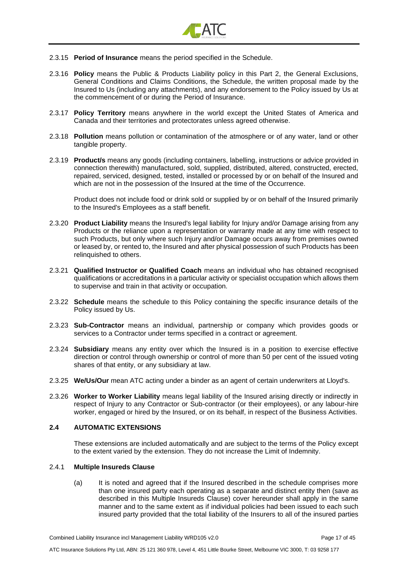

- 2.3.15 **Period of Insurance** means the period specified in the Schedule.
- 2.3.16 **Policy** means the Public & Products Liability policy in this Part 2, the General Exclusions, General Conditions and Claims Conditions, the Schedule, the written proposal made by the Insured to Us (including any attachments), and any endorsement to the Policy issued by Us at the commencement of or during the Period of Insurance.
- 2.3.17 **Policy Territory** means anywhere in the world except the United States of America and Canada and their territories and protectorates unless agreed otherwise.
- 2.3.18 **Pollution** means pollution or contamination of the atmosphere or of any water, land or other tangible property.
- 2.3.19 **Product/s** means any goods (including containers, labelling, instructions or advice provided in connection therewith) manufactured, sold, supplied, distributed, altered, constructed, erected, repaired, serviced, designed, tested, installed or processed by or on behalf of the Insured and which are not in the possession of the Insured at the time of the Occurrence.

Product does not include food or drink sold or supplied by or on behalf of the Insured primarily to the Insured's Employees as a staff benefit.

- 2.3.20 **Product Liability** means the Insured's legal liability for Injury and/or Damage arising from any Products or the reliance upon a representation or warranty made at any time with respect to such Products, but only where such Injury and/or Damage occurs away from premises owned or leased by, or rented to, the Insured and after physical possession of such Products has been relinquished to others.
- 2.3.21 **Qualified Instructor or Qualified Coach** means an individual who has obtained recognised qualifications or accreditations in a particular activity or specialist occupation which allows them to supervise and train in that activity or occupation.
- 2.3.22 **Schedule** means the schedule to this Policy containing the specific insurance details of the Policy issued by Us.
- 2.3.23 **Sub-Contractor** means an individual, partnership or company which provides goods or services to a Contractor under terms specified in a contract or agreement.
- 2.3.24 **Subsidiary** means any entity over which the Insured is in a position to exercise effective direction or control through ownership or control of more than 50 per cent of the issued voting shares of that entity, or any subsidiary at law.
- 2.3.25 **We/Us/Our** mean ATC acting under a binder as an agent of certain underwriters at Lloyd's.
- 2.3.26 **Worker to Worker Liability** means legal liability of the Insured arising directly or indirectly in respect of Injury to any Contractor or Sub-contractor (or their employees), or any labour-hire worker, engaged or hired by the Insured, or on its behalf, in respect of the Business Activities.

#### **2.4 AUTOMATIC EXTENSIONS**

These extensions are included automatically and are subject to the terms of the Policy except to the extent varied by the extension. They do not increase the Limit of Indemnity.

#### 2.4.1 **Multiple Insureds Clause**

(a) It is noted and agreed that if the Insured described in the schedule comprises more than one insured party each operating as a separate and distinct entity then (save as described in this Multiple Insureds Clause) cover hereunder shall apply in the same manner and to the same extent as if individual policies had been issued to each such insured party provided that the total liability of the Insurers to all of the insured parties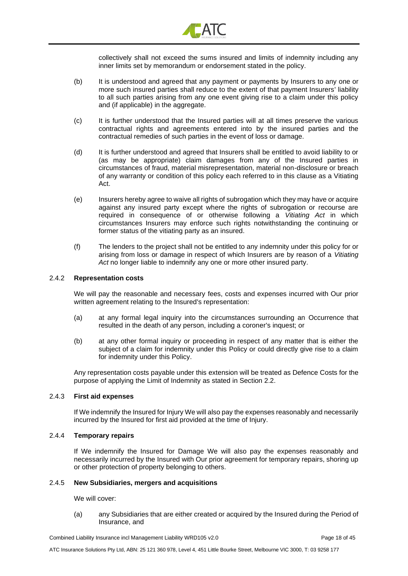

collectively shall not exceed the sums insured and limits of indemnity including any inner limits set by memorandum or endorsement stated in the policy.

- (b) It is understood and agreed that any payment or payments by Insurers to any one or more such insured parties shall reduce to the extent of that payment Insurers' liability to all such parties arising from any one event giving rise to a claim under this policy and (if applicable) in the aggregate.
- (c) It is further understood that the Insured parties will at all times preserve the various contractual rights and agreements entered into by the insured parties and the contractual remedies of such parties in the event of loss or damage.
- (d) It is further understood and agreed that Insurers shall be entitled to avoid liability to or (as may be appropriate) claim damages from any of the Insured parties in circumstances of fraud, material misrepresentation, material non-disclosure or breach of any warranty or condition of this policy each referred to in this clause as a Vitiating Act.
- (e) Insurers hereby agree to waive all rights of subrogation which they may have or acquire against any insured party except where the rights of subrogation or recourse are required in consequence of or otherwise following a *Vitiating Act* in which circumstances Insurers may enforce such rights notwithstanding the continuing or former status of the vitiating party as an insured.
- (f) The lenders to the project shall not be entitled to any indemnity under this policy for or arising from loss or damage in respect of which Insurers are by reason of a *Vitiating Act* no longer liable to indemnify any one or more other insured party.

#### 2.4.2 **Representation costs**

We will pay the reasonable and necessary fees, costs and expenses incurred with Our prior written agreement relating to the Insured's representation:

- (a) at any formal legal inquiry into the circumstances surrounding an Occurrence that resulted in the death of any person, including a coroner's inquest; or
- (b) at any other formal inquiry or proceeding in respect of any matter that is either the subject of a claim for indemnity under this Policy or could directly give rise to a claim for indemnity under this Policy.

Any representation costs payable under this extension will be treated as Defence Costs for the purpose of applying the Limit of Indemnity as stated in Section 2.2.

#### 2.4.3 **First aid expenses**

If We indemnify the Insured for Injury We will also pay the expenses reasonably and necessarily incurred by the Insured for first aid provided at the time of Injury.

#### 2.4.4 **Temporary repairs**

If We indemnify the Insured for Damage We will also pay the expenses reasonably and necessarily incurred by the Insured with Our prior agreement for temporary repairs, shoring up or other protection of property belonging to others.

#### 2.4.5 **New Subsidiaries, mergers and acquisitions**

We will cover:

(a) any Subsidiaries that are either created or acquired by the Insured during the Period of Insurance, and

Combined Liability Insurance incl Management Liability WRD105 v2.0 Page 18 of 45

ATC Insurance Solutions Pty Ltd, ABN: 25 121 360 978, Level 4, 451 Little Bourke Street, Melbourne VIC 3000, T: 03 9258 177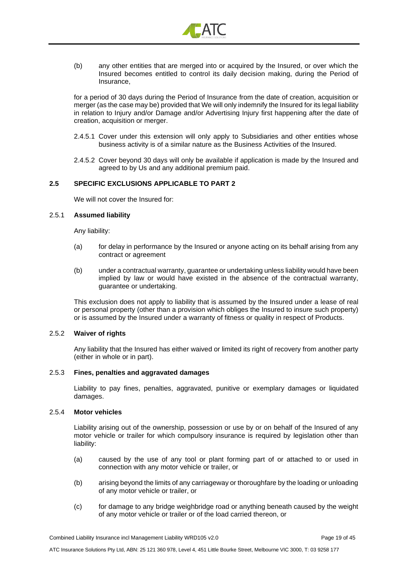

(b) any other entities that are merged into or acquired by the Insured, or over which the Insured becomes entitled to control its daily decision making, during the Period of Insurance,

for a period of 30 days during the Period of Insurance from the date of creation, acquisition or merger (as the case may be) provided that We will only indemnify the Insured for its legal liability in relation to Injury and/or Damage and/or Advertising Injury first happening after the date of creation, acquisition or merger.

- 2.4.5.1 Cover under this extension will only apply to Subsidiaries and other entities whose business activity is of a similar nature as the Business Activities of the Insured.
- 2.4.5.2 Cover beyond 30 days will only be available if application is made by the Insured and agreed to by Us and any additional premium paid.

### **2.5 SPECIFIC EXCLUSIONS APPLICABLE TO PART 2**

We will not cover the Insured for:

#### 2.5.1 **Assumed liability**

Any liability:

- (a) for delay in performance by the Insured or anyone acting on its behalf arising from any contract or agreement
- (b) under a contractual warranty, guarantee or undertaking unless liability would have been implied by law or would have existed in the absence of the contractual warranty, guarantee or undertaking.

This exclusion does not apply to liability that is assumed by the Insured under a lease of real or personal property (other than a provision which obliges the Insured to insure such property) or is assumed by the Insured under a warranty of fitness or quality in respect of Products.

#### 2.5.2 **Waiver of rights**

Any liability that the Insured has either waived or limited its right of recovery from another party (either in whole or in part).

#### 2.5.3 **Fines, penalties and aggravated damages**

Liability to pay fines, penalties, aggravated, punitive or exemplary damages or liquidated damages.

#### 2.5.4 **Motor vehicles**

Liability arising out of the ownership, possession or use by or on behalf of the Insured of any motor vehicle or trailer for which compulsory insurance is required by legislation other than liability:

- (a) caused by the use of any tool or plant forming part of or attached to or used in connection with any motor vehicle or trailer, or
- (b) arising beyond the limits of any carriageway or thoroughfare by the loading or unloading of any motor vehicle or trailer, or
- (c) for damage to any bridge weighbridge road or anything beneath caused by the weight of any motor vehicle or trailer or of the load carried thereon, or

Combined Liability Insurance incl Management Liability WRD105 v2.0 Page 19 of 45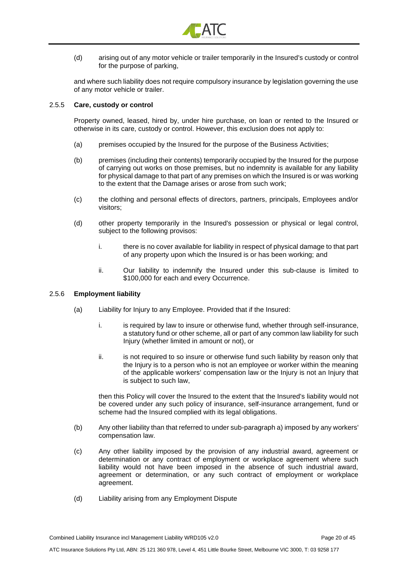

(d) arising out of any motor vehicle or trailer temporarily in the Insured's custody or control for the purpose of parking,

and where such liability does not require compulsory insurance by legislation governing the use of any motor vehicle or trailer.

#### 2.5.5 **Care, custody or control**

Property owned, leased, hired by, under hire purchase, on loan or rented to the Insured or otherwise in its care, custody or control. However, this exclusion does not apply to:

- (a) premises occupied by the Insured for the purpose of the Business Activities;
- (b) premises (including their contents) temporarily occupied by the Insured for the purpose of carrying out works on those premises, but no indemnity is available for any liability for physical damage to that part of any premises on which the Insured is or was working to the extent that the Damage arises or arose from such work;
- (c) the clothing and personal effects of directors, partners, principals, Employees and/or visitors;
- (d) other property temporarily in the Insured's possession or physical or legal control, subject to the following provisos:
	- i. there is no cover available for liability in respect of physical damage to that part of any property upon which the Insured is or has been working; and
	- ii. Our liability to indemnify the Insured under this sub-clause is limited to \$100,000 for each and every Occurrence.

#### 2.5.6 **Employment liability**

- (a) Liability for Injury to any Employee. Provided that if the Insured:
	- i. is required by law to insure or otherwise fund, whether through self-insurance, a statutory fund or other scheme, all or part of any common law liability for such Injury (whether limited in amount or not), or
	- ii. is not required to so insure or otherwise fund such liability by reason only that the Injury is to a person who is not an employee or worker within the meaning of the applicable workers' compensation law or the Injury is not an Injury that is subject to such law,

then this Policy will cover the Insured to the extent that the Insured's liability would not be covered under any such policy of insurance, self-insurance arrangement, fund or scheme had the Insured complied with its legal obligations.

- (b) Any other liability than that referred to under sub-paragraph a) imposed by any workers' compensation law.
- (c) Any other liability imposed by the provision of any industrial award, agreement or determination or any contract of employment or workplace agreement where such liability would not have been imposed in the absence of such industrial award, agreement or determination, or any such contract of employment or workplace agreement.
- (d) Liability arising from any Employment Dispute

Combined Liability Insurance incl Management Liability WRD105 v2.0 Page 20 of 45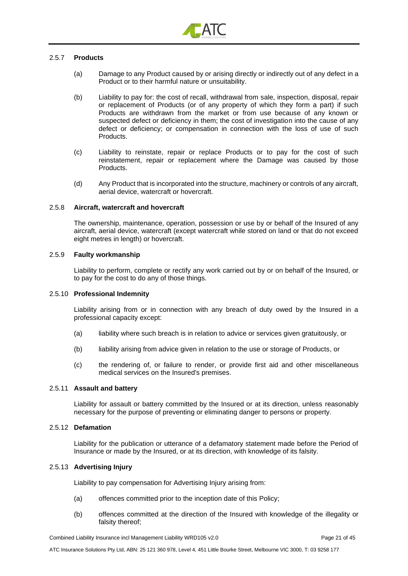

#### 2.5.7 **Products**

- (a) Damage to any Product caused by or arising directly or indirectly out of any defect in a Product or to their harmful nature or unsuitability.
- (b) Liability to pay for: the cost of recall, withdrawal from sale, inspection, disposal, repair or replacement of Products (or of any property of which they form a part) if such Products are withdrawn from the market or from use because of any known or suspected defect or deficiency in them; the cost of investigation into the cause of any defect or deficiency; or compensation in connection with the loss of use of such Products.
- (c) Liability to reinstate, repair or replace Products or to pay for the cost of such reinstatement, repair or replacement where the Damage was caused by those Products.
- (d) Any Product that is incorporated into the structure, machinery or controls of any aircraft, aerial device, watercraft or hovercraft.

#### 2.5.8 **Aircraft, watercraft and hovercraft**

The ownership, maintenance, operation, possession or use by or behalf of the Insured of any aircraft, aerial device, watercraft (except watercraft while stored on land or that do not exceed eight metres in length) or hovercraft.

#### 2.5.9 **Faulty workmanship**

Liability to perform, complete or rectify any work carried out by or on behalf of the Insured, or to pay for the cost to do any of those things.

#### 2.5.10 **Professional Indemnity**

Liability arising from or in connection with any breach of duty owed by the Insured in a professional capacity except:

- (a) liability where such breach is in relation to advice or services given gratuitously, or
- (b) liability arising from advice given in relation to the use or storage of Products, or
- (c) the rendering of, or failure to render, or provide first aid and other miscellaneous medical services on the Insured's premises.

#### 2.5.11 **Assault and battery**

Liability for assault or battery committed by the Insured or at its direction, unless reasonably necessary for the purpose of preventing or eliminating danger to persons or property.

#### 2.5.12 **Defamation**

Liability for the publication or utterance of a defamatory statement made before the Period of Insurance or made by the Insured, or at its direction, with knowledge of its falsity.

#### 2.5.13 **Advertising Injury**

Liability to pay compensation for Advertising Injury arising from:

- (a) offences committed prior to the inception date of this Policy;
- (b) offences committed at the direction of the Insured with knowledge of the illegality or falsity thereof;

Combined Liability Insurance incl Management Liability WRD105 v2.0 Page 21 of 45

ATC Insurance Solutions Pty Ltd, ABN: 25 121 360 978, Level 4, 451 Little Bourke Street, Melbourne VIC 3000, T: 03 9258 177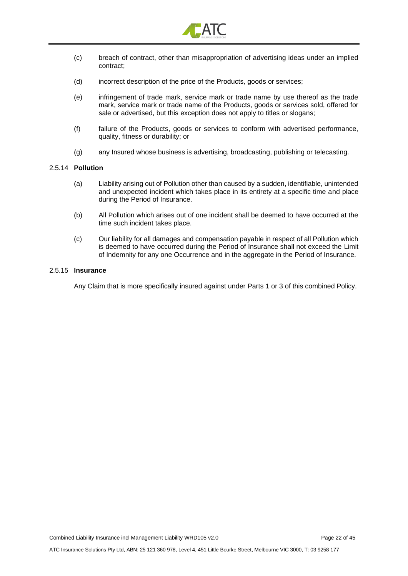

- (c) breach of contract, other than misappropriation of advertising ideas under an implied contract;
- (d) incorrect description of the price of the Products, goods or services;
- (e) infringement of trade mark, service mark or trade name by use thereof as the trade mark, service mark or trade name of the Products, goods or services sold, offered for sale or advertised, but this exception does not apply to titles or slogans;
- (f) failure of the Products, goods or services to conform with advertised performance, quality, fitness or durability; or
- (g) any Insured whose business is advertising, broadcasting, publishing or telecasting.

#### 2.5.14 **Pollution**

- (a) Liability arising out of Pollution other than caused by a sudden, identifiable, unintended and unexpected incident which takes place in its entirety at a specific time and place during the Period of Insurance.
- (b) All Pollution which arises out of one incident shall be deemed to have occurred at the time such incident takes place.
- (c) Our liability for all damages and compensation payable in respect of all Pollution which is deemed to have occurred during the Period of Insurance shall not exceed the Limit of Indemnity for any one Occurrence and in the aggregate in the Period of Insurance.

#### 2.5.15 **Insurance**

Any Claim that is more specifically insured against under Parts 1 or 3 of this combined Policy.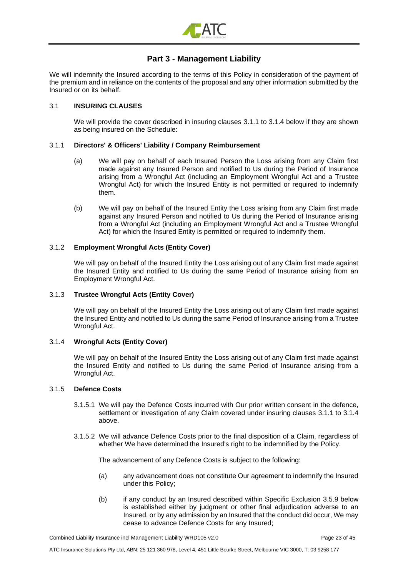

# **Part 3 - Management Liability**

<span id="page-22-0"></span>We will indemnify the Insured according to the terms of this Policy in consideration of the payment of the premium and in reliance on the contents of the proposal and any other information submitted by the Insured or on its behalf.

#### 3.1 **INSURING CLAUSES**

We will provide the cover described in insuring clauses [3.1.1](#page-22-1) to [3.1.4 below](#page-22-2) if they are shown as being insured on the Schedule:

#### <span id="page-22-1"></span>3.1.1 **Directors' & Officers' Liability / Company Reimbursement**

- (a) We will pay on behalf of each Insured Person the Loss arising from any Claim first made against any Insured Person and notified to Us during the Period of Insurance arising from a Wrongful Act (including an Employment Wrongful Act and a Trustee Wrongful Act) for which the Insured Entity is not permitted or required to indemnify them.
- <span id="page-22-3"></span>(b) We will pay on behalf of the Insured Entity the Loss arising from any Claim first made against any Insured Person and notified to Us during the Period of Insurance arising from a Wrongful Act (including an Employment Wrongful Act and a Trustee Wrongful Act) for which the Insured Entity is permitted or required to indemnify them.

#### <span id="page-22-4"></span>3.1.2 **Employment Wrongful Acts (Entity Cover)**

We will pay on behalf of the Insured Entity the Loss arising out of any Claim first made against the Insured Entity and notified to Us during the same Period of Insurance arising from an Employment Wrongful Act.

#### 3.1.3 **Trustee Wrongful Acts (Entity Cover)**

We will pay on behalf of the Insured Entity the Loss arising out of any Claim first made against the Insured Entity and notified to Us during the same Period of Insurance arising from a Trustee Wrongful Act.

#### <span id="page-22-2"></span>3.1.4 **Wrongful Acts (Entity Cover)**

We will pay on behalf of the Insured Entity the Loss arising out of any Claim first made against the Insured Entity and notified to Us during the same Period of Insurance arising from a Wrongful Act.

#### 3.1.5 **Defence Costs**

- 3.1.5.1 We will pay the Defence Costs incurred with Our prior written consent in the defence, settlement or investigation of any Claim covered under insuring clauses [3.1.1](#page-22-1) to [3.1.4](#page-22-2)  [above.](#page-22-2)
- 3.1.5.2 We will advance Defence Costs prior to the final disposition of a Claim, regardless of whether We have determined the Insured's right to be indemnified by the Policy.

The advancement of any Defence Costs is subject to the following:

- (a) any advancement does not constitute Our agreement to indemnify the Insured under this Policy;
- (b) if any conduct by an Insured described within Specific Exclusion [3.5.9 below](#page-33-0) is established either by judgment or other final adjudication adverse to an Insured, or by any admission by an Insured that the conduct did occur, We may cease to advance Defence Costs for any Insured;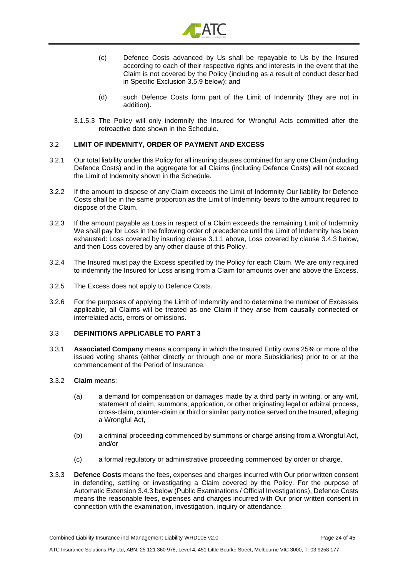

- (c) Defence Costs advanced by Us shall be repayable to Us by the Insured according to each of their respective rights and interests in the event that the Claim is not covered by the Policy (including as a result of conduct described in Specific Exclusion [3.5.9 below\)](#page-33-0); and
- (d) such Defence Costs form part of the Limit of Indemnity (they are not in addition).
- 3.1.5.3 The Policy will only indemnify the Insured for Wrongful Acts committed after the retroactive date shown in the Schedule.

#### 3.2 **LIMIT OF INDEMNITY, ORDER OF PAYMENT AND EXCESS**

- 3.2.1 Our total liability under this Policy for all insuring clauses combined for any one Claim (including Defence Costs) and in the aggregate for all Claims (including Defence Costs) will not exceed the Limit of Indemnity shown in the Schedule.
- 3.2.2 If the amount to dispose of any Claim exceeds the Limit of Indemnity Our liability for Defence Costs shall be in the same proportion as the Limit of Indemnity bears to the amount required to dispose of the Claim.
- 3.2.3 If the amount payable as Loss in respect of a Claim exceeds the remaining Limit of Indemnity We shall pay for Loss in the following order of precedence until the Limit of Indemnity has been exhausted: Loss covered by insuring clause [3.1.1 above,](#page-22-1) Loss covered by clause [3.4.3 below,](#page-27-0) and then Loss covered by any other clause of this Policy.
- 3.2.4 The Insured must pay the Excess specified by the Policy for each Claim. We are only required to indemnify the Insured for Loss arising from a Claim for amounts over and above the Excess.
- 3.2.5 The Excess does not apply to Defence Costs.
- 3.2.6 For the purposes of applying the Limit of Indemnity and to determine the number of Excesses applicable, all Claims will be treated as one Claim if they arise from causally connected or interrelated acts, errors or omissions.

#### 3.3 **DEFINITIONS APPLICABLE TO PART 3**

3.3.1 **Associated Company** means a company in which the Insured Entity owns 25% or more of the issued voting shares (either directly or through one or more Subsidiaries) prior to or at the commencement of the Period of Insurance.

#### 3.3.2 **Claim** means:

- (a) a demand for compensation or damages made by a third party in writing, or any writ, statement of claim, summons, application, or other originating legal or arbitral process, cross-claim, counter-claim or third or similar party notice served on the Insured, alleging a Wrongful Act,
- (b) a criminal proceeding commenced by summons or charge arising from a Wrongful Act, and/or
- (c) a formal regulatory or administrative proceeding commenced by order or charge.
- 3.3.3 **Defence Costs** means the fees, expenses and charges incurred with Our prior written consent in defending, settling or investigating a Claim covered by the Policy. For the purpose of Automatic Extension [3.4.3 below](#page-27-0) (Public Examinations / Official Investigations), Defence Costs means the reasonable fees, expenses and charges incurred with Our prior written consent in connection with the examination, investigation, inquiry or attendance.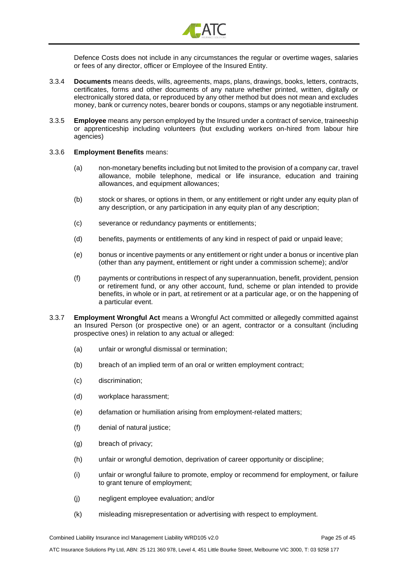

Defence Costs does not include in any circumstances the regular or overtime wages, salaries or fees of any director, officer or Employee of the Insured Entity.

- 3.3.4 **Documents** means deeds, wills, agreements, maps, plans, drawings, books, letters, contracts, certificates, forms and other documents of any nature whether printed, written, digitally or electronically stored data, or reproduced by any other method but does not mean and excludes money, bank or currency notes, bearer bonds or coupons, stamps or any negotiable instrument.
- 3.3.5 **Employee** means any person employed by the Insured under a contract of service, traineeship or apprenticeship including volunteers (but excluding workers on-hired from labour hire agencies)
- 3.3.6 **Employment Benefits** means:
	- (a) non-monetary benefits including but not limited to the provision of a company car, travel allowance, mobile telephone, medical or life insurance, education and training allowances, and equipment allowances;
	- (b) stock or shares, or options in them, or any entitlement or right under any equity plan of any description, or any participation in any equity plan of any description;
	- (c) severance or redundancy payments or entitlements;
	- (d) benefits, payments or entitlements of any kind in respect of paid or unpaid leave;
	- (e) bonus or incentive payments or any entitlement or right under a bonus or incentive plan (other than any payment, entitlement or right under a commission scheme); and/or
	- (f) payments or contributions in respect of any superannuation, benefit, provident, pension or retirement fund, or any other account, fund, scheme or plan intended to provide benefits, in whole or in part, at retirement or at a particular age, or on the happening of a particular event.
- 3.3.7 **Employment Wrongful Act** means a Wrongful Act committed or allegedly committed against an Insured Person (or prospective one) or an agent, contractor or a consultant (including prospective ones) in relation to any actual or alleged:
	- (a) unfair or wrongful dismissal or termination;
	- (b) breach of an implied term of an oral or written employment contract;
	- (c) discrimination;
	- (d) workplace harassment;
	- (e) defamation or humiliation arising from employment-related matters;
	- (f) denial of natural justice;
	- (g) breach of privacy;
	- (h) unfair or wrongful demotion, deprivation of career opportunity or discipline;
	- (i) unfair or wrongful failure to promote, employ or recommend for employment, or failure to grant tenure of employment;
	- (j) negligent employee evaluation; and/or
	- (k) misleading misrepresentation or advertising with respect to employment.

Combined Liability Insurance incl Management Liability WRD105 v2.0 Page 25 of 45

ATC Insurance Solutions Pty Ltd, ABN: 25 121 360 978, Level 4, 451 Little Bourke Street, Melbourne VIC 3000, T: 03 9258 177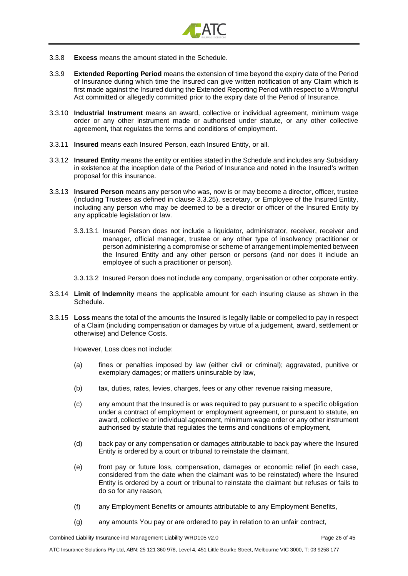

- 3.3.8 **Excess** means the amount stated in the Schedule.
- 3.3.9 **Extended Reporting Period** means the extension of time beyond the expiry date of the Period of Insurance during which time the Insured can give written notification of any Claim which is first made against the Insured during the Extended Reporting Period with respect to a Wrongful Act committed or allegedly committed prior to the expiry date of the Period of Insurance.
- 3.3.10 **Industrial Instrument** means an award, collective or individual agreement, minimum wage order or any other instrument made or authorised under statute, or any other collective agreement, that regulates the terms and conditions of employment.
- 3.3.11 **Insured** means each Insured Person, each Insured Entity, or all.
- 3.3.12 **Insured Entity** means the entity or entities stated in the Schedule and includes any Subsidiary in existence at the inception date of the Period of Insurance and noted in the Insured's written proposal for this insurance.
- 3.3.13 **Insured Person** means any person who was, now is or may become a director, officer, trustee (including Trustees as defined in clause 3.3.25), secretary, or Employee of the Insured Entity, including any person who may be deemed to be a director or officer of the Insured Entity by any applicable legislation or law.
	- 3.3.13.1 Insured Person does not include a liquidator, administrator, receiver, receiver and manager, official manager, trustee or any other type of insolvency practitioner or person administering a compromise or scheme of arrangement implemented between the Insured Entity and any other person or persons (and nor does it include an employee of such a practitioner or person).
	- 3.3.13.2 Insured Person does not include any company, organisation or other corporate entity.
- 3.3.14 **Limit of Indemnity** means the applicable amount for each insuring clause as shown in the Schedule.
- 3.3.15 **Loss** means the total of the amounts the Insured is legally liable or compelled to pay in respect of a Claim (including compensation or damages by virtue of a judgement, award, settlement or otherwise) and Defence Costs.

However, Loss does not include:

- (a) fines or penalties imposed by law (either civil or criminal); aggravated, punitive or exemplary damages; or matters uninsurable by law,
- (b) tax, duties, rates, levies, charges, fees or any other revenue raising measure,
- (c) any amount that the Insured is or was required to pay pursuant to a specific obligation under a contract of employment or employment agreement, or pursuant to statute, an award, collective or individual agreement, minimum wage order or any other instrument authorised by statute that regulates the terms and conditions of employment,
- (d) back pay or any compensation or damages attributable to back pay where the Insured Entity is ordered by a court or tribunal to reinstate the claimant,
- (e) front pay or future loss, compensation, damages or economic relief (in each case, considered from the date when the claimant was to be reinstated) where the Insured Entity is ordered by a court or tribunal to reinstate the claimant but refuses or fails to do so for any reason,
- (f) any Employment Benefits or amounts attributable to any Employment Benefits,
- (g) any amounts You pay or are ordered to pay in relation to an unfair contract,

Combined Liability Insurance incl Management Liability WRD105 v2.0 Page 26 of 45

ATC Insurance Solutions Pty Ltd, ABN: 25 121 360 978, Level 4, 451 Little Bourke Street, Melbourne VIC 3000, T: 03 9258 177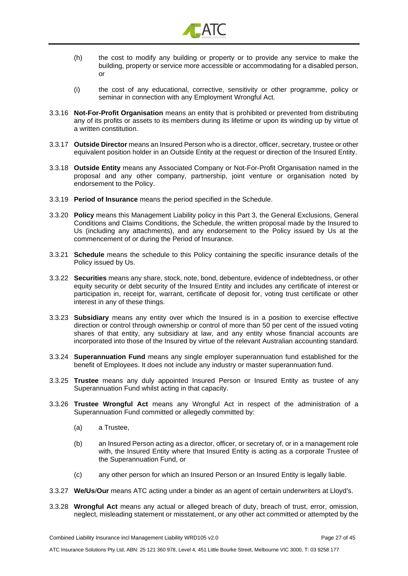

- (h) the cost to modify any building or property or to provide any service to make the building, property or service more accessible or accommodating for a disabled person, or
- (i) the cost of any educational, corrective, sensitivity or other programme, policy or seminar in connection with any Employment Wrongful Act.
- 3.3.16 **Not-For-Profit Organisation** means an entity that is prohibited or prevented from distributing any of its profits or assets to its members during its lifetime or upon its winding up by virtue of a written constitution.
- 3.3.17 **Outside Director** means an Insured Person who is a director, officer, secretary, trustee or other equivalent position holder in an Outside Entity at the request or direction of the Insured Entity.
- 3.3.18 **Outside Entity** means any Associated Company or Not-For-Profit Organisation named in the proposal and any other company, partnership, joint venture or organisation noted by endorsement to the Policy.
- 3.3.19 **Period of Insurance** means the period specified in the Schedule.
- 3.3.20 **Policy** means this Management Liability policy in this Part 3, the General Exclusions, General Conditions and Claims Conditions, the Schedule, the written proposal made by the Insured to Us (including any attachments), and any endorsement to the Policy issued by Us at the commencement of or during the Period of Insurance.
- 3.3.21 **Schedule** means the schedule to this Policy containing the specific insurance details of the Policy issued by Us.
- 3.3.22 **Securities** means any share, stock, note, bond, debenture, evidence of indebtedness, or other equity security or debt security of the Insured Entity and includes any certificate of interest or participation in, receipt for, warrant, certificate of deposit for, voting trust certificate or other interest in any of these things.
- 3.3.23 **Subsidiary** means any entity over which the Insured is in a position to exercise effective direction or control through ownership or control of more than 50 per cent of the issued voting shares of that entity, any subsidiary at law, and any entity whose financial accounts are incorporated into those of the Insured by virtue of the relevant Australian accounting standard.
- 3.3.24 **Superannuation Fund** means any single employer superannuation fund established for the benefit of Employees. It does not include any industry or master superannuation fund.
- 3.3.25 **Trustee** means any duly appointed Insured Person or Insured Entity as trustee of any Superannuation Fund whilst acting in that capacity.
- 3.3.26 **Trustee Wrongful Act** means any Wrongful Act in respect of the administration of a Superannuation Fund committed or allegedly committed by:
	- (a) a Trustee,
	- (b) an Insured Person acting as a director, officer, or secretary of, or in a management role with, the Insured Entity where that Insured Entity is acting as a corporate Trustee of the Superannuation Fund, or
	- (c) any other person for which an Insured Person or an Insured Entity is legally liable.
- 3.3.27 **We/Us**/**Our** means ATC acting under a binder as an agent of certain underwriters at Lloyd's.
- 3.3.28 **Wrongful Act** means any actual or alleged breach of duty, breach of trust, error, omission, neglect, misleading statement or misstatement, or any other act committed or attempted by the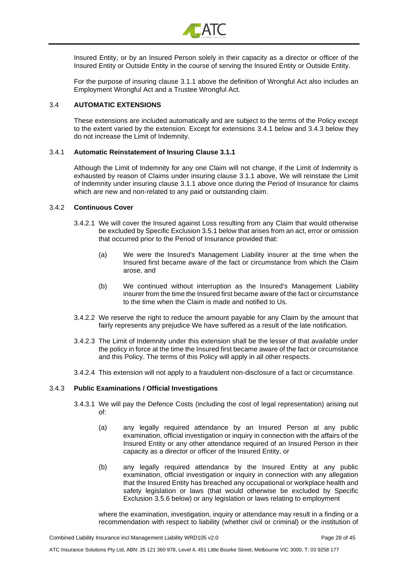

Insured Entity, or by an Insured Person solely in their capacity as a director or officer of the Insured Entity or Outside Entity in the course of serving the Insured Entity or Outside Entity.

For the purpose of insuring clause [3.1.1 above](#page-22-1) the definition of Wrongful Act also includes an Employment Wrongful Act and a Trustee Wrongful Act.

#### 3.4 **AUTOMATIC EXTENSIONS**

These extensions are included automatically and are subject to the terms of the Policy except to the extent varied by the extension. Except for extensions [3.4.1 below](#page-27-1) and [3.4.3 below](#page-27-0) they do not increase the Limit of Indemnity.

#### <span id="page-27-1"></span>3.4.1 **Automatic Reinstatement of Insuring Clause 3.1.1**

Although the Limit of Indemnity for any one Claim will not change, if the Limit of Indemnity is exhausted by reason of Claims under insuring clause [3.1.1 above,](#page-22-1) We will reinstate the Limit of Indemnity under insuring clause [3.1.1 above](#page-22-1) once during the Period of Insurance for claims which are new and non-related to any paid or outstanding claim.

#### 3.4.2 **Continuous Cover**

- 3.4.2.1 We will cover the Insured against Loss resulting from any Claim that would otherwise be excluded by Specific Exclusio[n 3.5.1 below](#page-32-0) that arises from an act, error or omission that occurred prior to the Period of Insurance provided that:
	- (a) We were the Insured's Management Liability insurer at the time when the Insured first became aware of the fact or circumstance from which the Claim arose, and
	- (b) We continued without interruption as the Insured's Management Liability insurer from the time the Insured first became aware of the fact or circumstance to the time when the Claim is made and notified to Us.
- 3.4.2.2 We reserve the right to reduce the amount payable for any Claim by the amount that fairly represents any prejudice We have suffered as a result of the late notification.
- 3.4.2.3 The Limit of Indemnity under this extension shall be the lesser of that available under the policy in force at the time the Insured first became aware of the fact or circumstance and this Policy. The terms of this Policy will apply in all other respects.
- 3.4.2.4 This extension will not apply to a fraudulent non-disclosure of a fact or circumstance.

#### <span id="page-27-0"></span>3.4.3 **Public Examinations / Official Investigations**

- 3.4.3.1 We will pay the Defence Costs (including the cost of legal representation) arising out of:
	- (a) any legally required attendance by an Insured Person at any public examination, official investigation or inquiry in connection with the affairs of the Insured Entity or any other attendance required of an Insured Person in their capacity as a director or officer of the Insured Entity, or
	- (b) any legally required attendance by the Insured Entity at any public examination, official investigation or inquiry in connection with any allegation that the Insured Entity has breached any occupational or workplace health and safety legislation or laws (that would otherwise be excluded by Specific Exclusion [3.5.6 below\)](#page-33-1) or any legislation or laws relating to employment

where the examination, investigation, inquiry or attendance may result in a finding or a recommendation with respect to liability (whether civil or criminal) or the institution of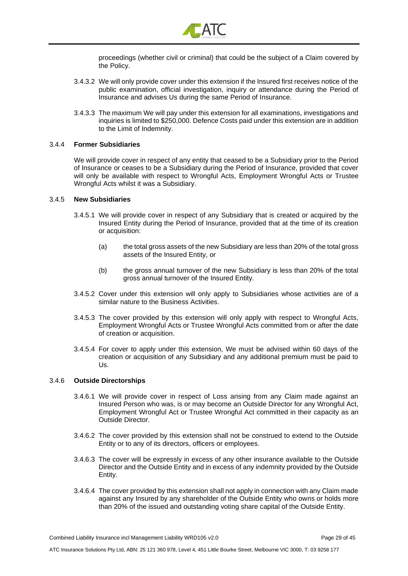

proceedings (whether civil or criminal) that could be the subject of a Claim covered by the Policy.

- 3.4.3.2 We will only provide cover under this extension if the Insured first receives notice of the public examination, official investigation, inquiry or attendance during the Period of Insurance and advises Us during the same Period of Insurance.
- 3.4.3.3 The maximum We will pay under this extension for all examinations, investigations and inquiries is limited to \$250,000. Defence Costs paid under this extension are in addition to the Limit of Indemnity.

#### 3.4.4 **Former Subsidiaries**

We will provide cover in respect of any entity that ceased to be a Subsidiary prior to the Period of Insurance or ceases to be a Subsidiary during the Period of Insurance, provided that cover will only be available with respect to Wrongful Acts, Employment Wrongful Acts or Trustee Wrongful Acts whilst it was a Subsidiary.

#### 3.4.5 **New Subsidiaries**

- 3.4.5.1 We will provide cover in respect of any Subsidiary that is created or acquired by the Insured Entity during the Period of Insurance, provided that at the time of its creation or acquisition:
	- (a) the total gross assets of the new Subsidiary are less than 20% of the total gross assets of the Insured Entity, or
	- (b) the gross annual turnover of the new Subsidiary is less than 20% of the total gross annual turnover of the Insured Entity.
- 3.4.5.2 Cover under this extension will only apply to Subsidiaries whose activities are of a similar nature to the Business Activities.
- 3.4.5.3 The cover provided by this extension will only apply with respect to Wrongful Acts, Employment Wrongful Acts or Trustee Wrongful Acts committed from or after the date of creation or acquisition.
- 3.4.5.4 For cover to apply under this extension, We must be advised within 60 days of the creation or acquisition of any Subsidiary and any additional premium must be paid to Us.

#### 3.4.6 **Outside Directorships**

- 3.4.6.1 We will provide cover in respect of Loss arising from any Claim made against an Insured Person who was, is or may become an Outside Director for any Wrongful Act, Employment Wrongful Act or Trustee Wrongful Act committed in their capacity as an Outside Director.
- 3.4.6.2 The cover provided by this extension shall not be construed to extend to the Outside Entity or to any of its directors, officers or employees.
- 3.4.6.3 The cover will be expressly in excess of any other insurance available to the Outside Director and the Outside Entity and in excess of any indemnity provided by the Outside Entity.
- 3.4.6.4 The cover provided by this extension shall not apply in connection with any Claim made against any Insured by any shareholder of the Outside Entity who owns or holds more than 20% of the issued and outstanding voting share capital of the Outside Entity.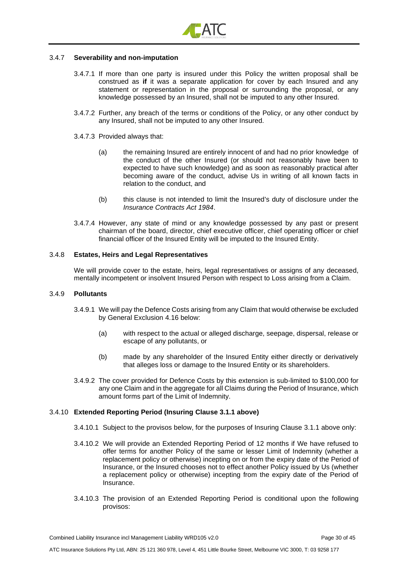

#### 3.4.7 **Severability and non-imputation**

- 3.4.7.1 If more than one party is insured under this Policy the written proposal shall be construed as **if** it was a separate application for cover by each Insured and any statement or representation in the proposal or surrounding the proposal, or any knowledge possessed by an Insured, shall not be imputed to any other Insured.
- 3.4.7.2 Further, any breach of the terms or conditions of the Policy, or any other conduct by any Insured, shall not be imputed to any other Insured.
- 3.4.7.3 Provided always that:
	- (a) the remaining Insured are entirely innocent of and had no prior knowledge of the conduct of the other Insured (or should not reasonably have been to expected to have such knowledge) and as soon as reasonably practical after becoming aware of the conduct, advise Us in writing of all known facts in relation to the conduct, and
	- (b) this clause is not intended to limit the Insured's duty of disclosure under the *Insurance Contracts Act 1984*.
- 3.4.7.4 However, any state of mind or any knowledge possessed by any past or present chairman of the board, director, chief executive officer, chief operating officer or chief financial officer of the Insured Entity will be imputed to the Insured Entity.

#### 3.4.8 **Estates, Heirs and Legal Representatives**

We will provide cover to the estate, heirs, legal representatives or assigns of any deceased, mentally incompetent or insolvent Insured Person with respect to Loss arising from a Claim.

#### 3.4.9 **Pollutants**

- 3.4.9.1 We will pay the Defence Costs arising from any Claim that would otherwise be excluded by General Exclusion 4.16 below:
	- (a) with respect to the actual or alleged discharge, seepage, dispersal, release or escape of any pollutants, or
	- (b) made by any shareholder of the Insured Entity either directly or derivatively that alleges loss or damage to the Insured Entity or its shareholders.
- 3.4.9.2 The cover provided for Defence Costs by this extension is sub-limited to \$100,000 for any one Claim and in the aggregate for all Claims during the Period of Insurance, which amount forms part of the Limit of Indemnity.

#### 3.4.10 **Extended Reporting Period (Insuring Clause [3.1.1 above\)](#page-22-1)**

- 3.4.10.1 Subject to the provisos below, for the purposes of Insuring Clause [3.1.1 above](#page-22-1) only:
- 3.4.10.2 We will provide an Extended Reporting Period of 12 months if We have refused to offer terms for another Policy of the same or lesser Limit of Indemnity (whether a replacement policy or otherwise) incepting on or from the expiry date of the Period of Insurance, or the Insured chooses not to effect another Policy issued by Us (whether a replacement policy or otherwise) incepting from the expiry date of the Period of Insurance.
- 3.4.10.3 The provision of an Extended Reporting Period is conditional upon the following provisos:

Combined Liability Insurance incl Management Liability WRD105 v2.0 Page 30 of 45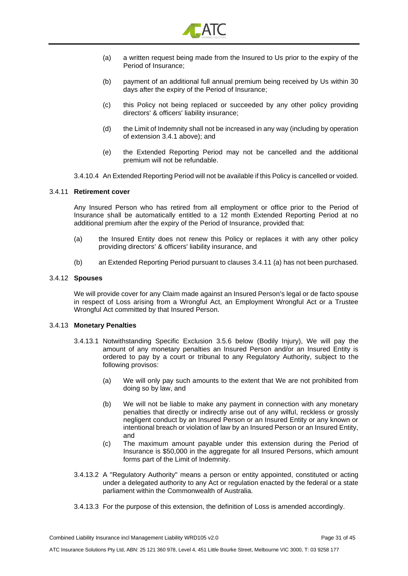

- (a) a written request being made from the Insured to Us prior to the expiry of the Period of Insurance;
- (b) payment of an additional full annual premium being received by Us within 30 days after the expiry of the Period of Insurance;
- (c) this Policy not being replaced or succeeded by any other policy providing directors' & officers' liability insurance;
- (d) the Limit of Indemnity shall not be increased in any way (including by operation of extension [3.4.1 above\)](#page-27-1); and
- (e) the Extended Reporting Period may not be cancelled and the additional premium will not be refundable.
- 3.4.10.4 An Extended Reporting Period will not be available if this Policy is cancelled or voided.

#### 3.4.11 **Retirement cover**

Any Insured Person who has retired from all employment or office prior to the Period of Insurance shall be automatically entitled to a 12 month Extended Reporting Period at no additional premium after the expiry of the Period of Insurance, provided that:

- (a) the Insured Entity does not renew this Policy or replaces it with any other policy providing directors' & officers' liability insurance, and
- (b) an Extended Reporting Period pursuant to clauses 3.4.11 (a) has not been purchased.

#### 3.4.12 **Spouses**

We will provide cover for any Claim made against an Insured Person's legal or de facto spouse in respect of Loss arising from a Wrongful Act, an Employment Wrongful Act or a Trustee Wrongful Act committed by that Insured Person.

#### 3.4.13 **Monetary Penalties**

- 3.4.13.1 Notwithstanding Specific Exclusion [3.5.6 below](#page-33-1) (Bodily Injury), We will pay the amount of any monetary penalties an Insured Person and/or an Insured Entity is ordered to pay by a court or tribunal to any Regulatory Authority, subject to the following provisos:
	- (a) We will only pay such amounts to the extent that We are not prohibited from doing so by law, and
	- (b) We will not be liable to make any payment in connection with any monetary penalties that directly or indirectly arise out of any wilful, reckless or grossly negligent conduct by an Insured Person or an Insured Entity or any known or intentional breach or violation of law by an Insured Person or an Insured Entity, and
	- (c) The maximum amount payable under this extension during the Period of Insurance is \$50,000 in the aggregate for all Insured Persons, which amount forms part of the Limit of Indemnity.
- 3.4.13.2 A "Regulatory Authority" means a person or entity appointed, constituted or acting under a delegated authority to any Act or regulation enacted by the federal or a state parliament within the Commonwealth of Australia.
- 3.4.13.3 For the purpose of this extension, the definition of Loss is amended accordingly.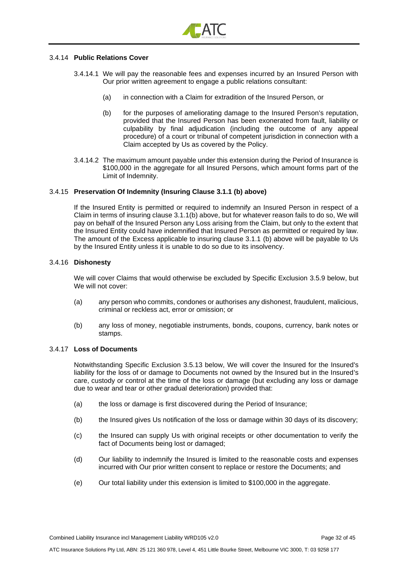

#### 3.4.14 **Public Relations Cover**

- 3.4.14.1 We will pay the reasonable fees and expenses incurred by an Insured Person with Our prior written agreement to engage a public relations consultant:
	- (a) in connection with a Claim for extradition of the Insured Person, or
	- (b) for the purposes of ameliorating damage to the Insured Person's reputation, provided that the Insured Person has been exonerated from fault, liability or culpability by final adjudication (including the outcome of any appeal procedure) of a court or tribunal of competent jurisdiction in connection with a Claim accepted by Us as covered by the Policy.
- 3.4.14.2 The maximum amount payable under this extension during the Period of Insurance is \$100,000 in the aggregate for all Insured Persons, which amount forms part of the Limit of Indemnity.

#### 3.4.15 **Preservation Of Indemnity (Insuring Clause 3.1.1 [\(b\) above\)](#page-22-3)**

If the Insured Entity is permitted or required to indemnify an Insured Person in respect of a Claim in terms of insuring clause 3.1.[1\(b\) above,](#page-22-3) but for whatever reason fails to do so, We will pay on behalf of the Insured Person any Loss arising from the Claim, but only to the extent that the Insured Entity could have indemnified that Insured Person as permitted or required by law. The amount of the Excess applicable to insuring clause 3.1.1 [\(b\) above](#page-22-3) will be payable to Us by the Insured Entity unless it is unable to do so due to its insolvency.

#### 3.4.16 **Dishonesty**

We will cover Claims that would otherwise be excluded by Specific Exclusion [3.5.9 below,](#page-33-0) but We will not cover:

- (a) any person who commits, condones or authorises any dishonest, fraudulent, malicious, criminal or reckless act, error or omission; or
- (b) any loss of money, negotiable instruments, bonds, coupons, currency, bank notes or stamps.

#### 3.4.17 **Loss of Documents**

Notwithstanding Specific Exclusion [3.5.13 below,](#page-34-0) We will cover the Insured for the Insured's liability for the loss of or damage to Documents not owned by the Insured but in the Insured's care, custody or control at the time of the loss or damage (but excluding any loss or damage due to wear and tear or other gradual deterioration) provided that:

- (a) the loss or damage is first discovered during the Period of Insurance;
- (b) the Insured gives Us notification of the loss or damage within 30 days of its discovery;
- (c) the Insured can supply Us with original receipts or other documentation to verify the fact of Documents being lost or damaged;
- (d) Our liability to indemnify the Insured is limited to the reasonable costs and expenses incurred with Our prior written consent to replace or restore the Documents; and
- (e) Our total liability under this extension is limited to \$100,000 in the aggregate.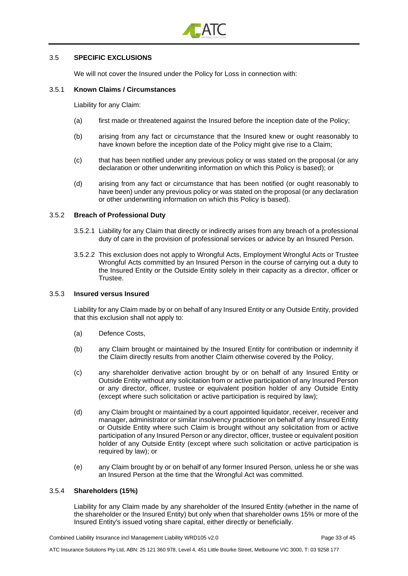

#### 3.5 **SPECIFIC EXCLUSIONS**

We will not cover the Insured under the Policy for Loss in connection with:

#### <span id="page-32-0"></span>3.5.1 **Known Claims / Circumstances**

Liability for any Claim:

- (a) first made or threatened against the Insured before the inception date of the Policy;
- (b) arising from any fact or circumstance that the Insured knew or ought reasonably to have known before the inception date of the Policy might give rise to a Claim;
- (c) that has been notified under any previous policy or was stated on the proposal (or any declaration or other underwriting information on which this Policy is based); or
- (d) arising from any fact or circumstance that has been notified (or ought reasonably to have been) under any previous policy or was stated on the proposal (or any declaration or other underwriting information on which this Policy is based).

#### 3.5.2 **Breach of Professional Duty**

- 3.5.2.1 Liability for any Claim that directly or indirectly arises from any breach of a professional duty of care in the provision of professional services or advice by an Insured Person.
- 3.5.2.2 This exclusion does not apply to Wrongful Acts, Employment Wrongful Acts or Trustee Wrongful Acts committed by an Insured Person in the course of carrying out a duty to the Insured Entity or the Outside Entity solely in their capacity as a director, officer or Trustee.

#### 3.5.3 **Insured versus Insured**

Liability for any Claim made by or on behalf of any Insured Entity or any Outside Entity, provided that this exclusion shall not apply to:

- (a) Defence Costs,
- (b) any Claim brought or maintained by the Insured Entity for contribution or indemnity if the Claim directly results from another Claim otherwise covered by the Policy,
- (c) any shareholder derivative action brought by or on behalf of any Insured Entity or Outside Entity without any solicitation from or active participation of any Insured Person or any director, officer, trustee or equivalent position holder of any Outside Entity (except where such solicitation or active participation is required by law);
- (d) any Claim brought or maintained by a court appointed liquidator, receiver, receiver and manager, administrator or similar insolvency practitioner on behalf of any Insured Entity or Outside Entity where such Claim is brought without any solicitation from or active participation of any Insured Person or any director, officer, trustee or equivalent position holder of any Outside Entity (except where such solicitation or active participation is required by law); or
- (e) any Claim brought by or on behalf of any former Insured Person, unless he or she was an Insured Person at the time that the Wrongful Act was committed.

#### 3.5.4 **Shareholders (15%)**

Liability for any Claim made by any shareholder of the Insured Entity (whether in the name of the shareholder or the Insured Entity) but only when that shareholder owns 15% or more of the Insured Entity's issued voting share capital, either directly or beneficially.

Combined Liability Insurance incl Management Liability WRD105 v2.0 Page 33 of 45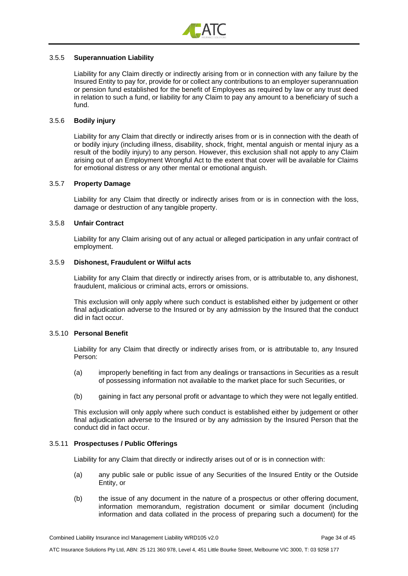

#### 3.5.5 **Superannuation Liability**

Liability for any Claim directly or indirectly arising from or in connection with any failure by the Insured Entity to pay for, provide for or collect any contributions to an employer superannuation or pension fund established for the benefit of Employees as required by law or any trust deed in relation to such a fund, or liability for any Claim to pay any amount to a beneficiary of such a fund.

#### <span id="page-33-1"></span>3.5.6 **Bodily injury**

Liability for any Claim that directly or indirectly arises from or is in connection with the death of or bodily injury (including illness, disability, shock, fright, mental anguish or mental injury as a result of the bodily injury) to any person. However, this exclusion shall not apply to any Claim arising out of an Employment Wrongful Act to the extent that cover will be available for Claims for emotional distress or any other mental or emotional anguish.

#### 3.5.7 **Property Damage**

Liability for any Claim that directly or indirectly arises from or is in connection with the loss, damage or destruction of any tangible property.

#### 3.5.8 **Unfair Contract**

Liability for any Claim arising out of any actual or alleged participation in any unfair contract of employment.

#### <span id="page-33-0"></span>3.5.9 **Dishonest, Fraudulent or Wilful acts**

Liability for any Claim that directly or indirectly arises from, or is attributable to, any dishonest, fraudulent, malicious or criminal acts, errors or omissions.

This exclusion will only apply where such conduct is established either by judgement or other final adjudication adverse to the Insured or by any admission by the Insured that the conduct did in fact occur.

#### 3.5.10 **Personal Benefit**

Liability for any Claim that directly or indirectly arises from, or is attributable to, any Insured Person:

- (a) improperly benefiting in fact from any dealings or transactions in Securities as a result of possessing information not available to the market place for such Securities, or
- (b) gaining in fact any personal profit or advantage to which they were not legally entitled.

This exclusion will only apply where such conduct is established either by judgement or other final adjudication adverse to the Insured or by any admission by the Insured Person that the conduct did in fact occur.

#### 3.5.11 **Prospectuses / Public Offerings**

Liability for any Claim that directly or indirectly arises out of or is in connection with:

- (a) any public sale or public issue of any Securities of the Insured Entity or the Outside Entity, or
- (b) the issue of any document in the nature of a prospectus or other offering document, information memorandum, registration document or similar document (including information and data collated in the process of preparing such a document) for the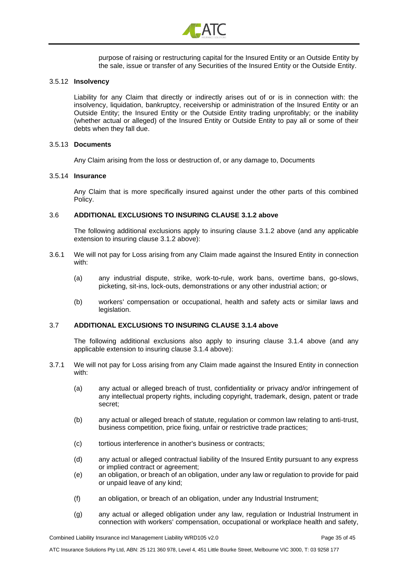

purpose of raising or restructuring capital for the Insured Entity or an Outside Entity by the sale, issue or transfer of any Securities of the Insured Entity or the Outside Entity.

#### 3.5.12 **Insolvency**

Liability for any Claim that directly or indirectly arises out of or is in connection with: the insolvency, liquidation, bankruptcy, receivership or administration of the Insured Entity or an Outside Entity; the Insured Entity or the Outside Entity trading unprofitably; or the inability (whether actual or alleged) of the Insured Entity or Outside Entity to pay all or some of their debts when they fall due.

#### <span id="page-34-0"></span>3.5.13 **Documents**

Any Claim arising from the loss or destruction of, or any damage to, Documents

#### 3.5.14 **Insurance**

Any Claim that is more specifically insured against under the other parts of this combined Policy.

#### 3.6 **ADDITIONAL EXCLUSIONS TO INSURING CLAUSE [3.1.2 above](#page-22-4)**

The following additional exclusions apply to insuring clause [3.1.2 above](#page-22-4) (and any applicable extension to insuring clause [3.1.2 above\)](#page-22-4):

- 3.6.1 We will not pay for Loss arising from any Claim made against the Insured Entity in connection with:
	- (a) any industrial dispute, strike, work-to-rule, work bans, overtime bans, go-slows, picketing, sit-ins, lock-outs, demonstrations or any other industrial action; or
	- (b) workers' compensation or occupational, health and safety acts or similar laws and legislation.

#### 3.7 **ADDITIONAL EXCLUSIONS TO INSURING CLAUSE [3.1.4 above](#page-22-2)**

The following additional exclusions also apply to insuring clause [3.1.4 above](#page-22-2) (and any applicable extension to insuring clause [3.1.4 above\)](#page-22-2):

- 3.7.1 We will not pay for Loss arising from any Claim made against the Insured Entity in connection with:
	- (a) any actual or alleged breach of trust, confidentiality or privacy and/or infringement of any intellectual property rights, including copyright, trademark, design, patent or trade secret;
	- (b) any actual or alleged breach of statute, regulation or common law relating to anti-trust, business competition, price fixing, unfair or restrictive trade practices;
	- (c) tortious interference in another's business or contracts;
	- (d) any actual or alleged contractual liability of the Insured Entity pursuant to any express or implied contract or agreement;
	- (e) an obligation, or breach of an obligation, under any law or regulation to provide for paid or unpaid leave of any kind;
	- (f) an obligation, or breach of an obligation, under any Industrial Instrument;
	- (g) any actual or alleged obligation under any law, regulation or Industrial Instrument in connection with workers' compensation, occupational or workplace health and safety,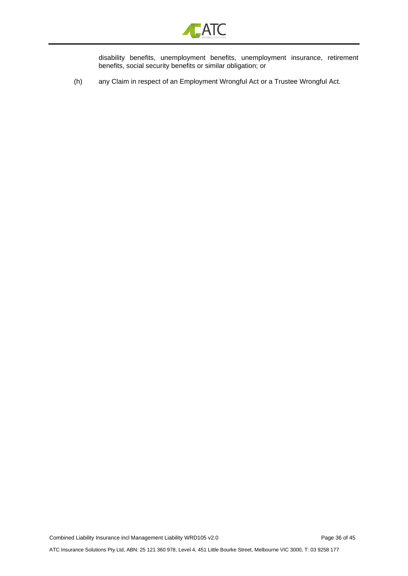

disability benefits, unemployment benefits, unemployment insurance, retirement benefits, social security benefits or similar obligation; or

(h) any Claim in respect of an Employment Wrongful Act or a Trustee Wrongful Act.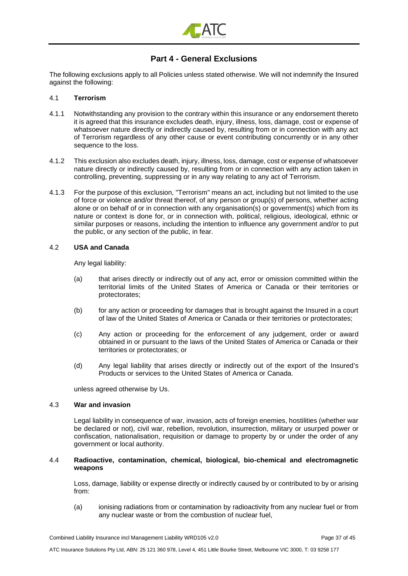

# **Part 4 - General Exclusions**

<span id="page-36-0"></span>The following exclusions apply to all Policies unless stated otherwise. We will not indemnify the Insured against the following:

#### 4.1 **Terrorism**

- 4.1.1 Notwithstanding any provision to the contrary within this insurance or any endorsement thereto it is agreed that this insurance excludes death, injury, illness, loss, damage, cost or expense of whatsoever nature directly or indirectly caused by, resulting from or in connection with any act of Terrorism regardless of any other cause or event contributing concurrently or in any other sequence to the loss.
- 4.1.2 This exclusion also excludes death, injury, illness, loss, damage, cost or expense of whatsoever nature directly or indirectly caused by, resulting from or in connection with any action taken in controlling, preventing, suppressing or in any way relating to any act of Terrorism.
- 4.1.3 For the purpose of this exclusion, "Terrorism" means an act, including but not limited to the use of force or violence and/or threat thereof, of any person or group(s) of persons, whether acting alone or on behalf of or in connection with any organisation(s) or government(s) which from its nature or context is done for, or in connection with, political, religious, ideological, ethnic or similar purposes or reasons, including the intention to influence any government and/or to put the public, or any section of the public, in fear.

#### 4.2 **USA and Canada**

Any legal liability:

- (a) that arises directly or indirectly out of any act, error or omission committed within the territorial limits of the United States of America or Canada or their territories or protectorates;
- (b) for any action or proceeding for damages that is brought against the Insured in a court of law of the United States of America or Canada or their territories or protectorates;
- (c) Any action or proceeding for the enforcement of any judgement, order or award obtained in or pursuant to the laws of the United States of America or Canada or their territories or protectorates; or
- (d) Any legal liability that arises directly or indirectly out of the export of the Insured's Products or services to the United States of America or Canada.

unless agreed otherwise by Us.

#### 4.3 **War and invasion**

Legal liability in consequence of war, invasion, acts of foreign enemies, hostilities (whether war be declared or not), civil war, rebellion, revolution, insurrection, military or usurped power or confiscation, nationalisation, requisition or damage to property by or under the order of any government or local authority.

#### 4.4 **Radioactive, contamination, chemical, biological, bio-chemical and electromagnetic weapons**

Loss, damage, liability or expense directly or indirectly caused by or contributed to by or arising from:

(a) ionising radiations from or contamination by radioactivity from any nuclear fuel or from any nuclear waste or from the combustion of nuclear fuel,

Combined Liability Insurance incl Management Liability WRD105 v2.0 Page 37 of 45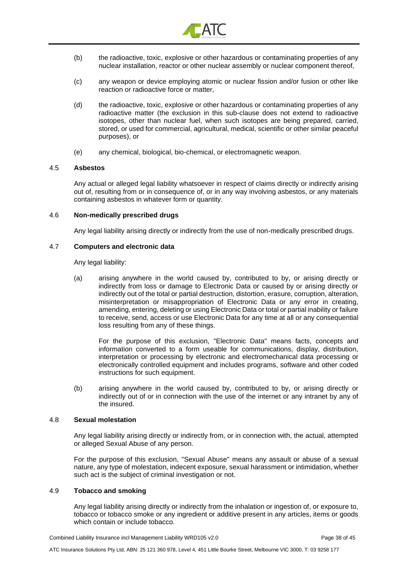

- (b) the radioactive, toxic, explosive or other hazardous or contaminating properties of any nuclear installation, reactor or other nuclear assembly or nuclear component thereof,
- (c) any weapon or device employing atomic or nuclear fission and/or fusion or other like reaction or radioactive force or matter,
- (d) the radioactive, toxic, explosive or other hazardous or contaminating properties of any radioactive matter (the exclusion in this sub-clause does not extend to radioactive isotopes, other than nuclear fuel, when such isotopes are being prepared, carried, stored, or used for commercial, agricultural, medical, scientific or other similar peaceful purposes), or
- (e) any chemical, biological, bio-chemical, or electromagnetic weapon.

#### 4.5 **Asbestos**

Any actual or alleged legal liability whatsoever in respect of claims directly or indirectly arising out of, resulting from or in consequence of, or in any way involving asbestos, or any materials containing asbestos in whatever form or quantity.

#### 4.6 **Non-medically prescribed drugs**

Any legal liability arising directly or indirectly from the use of non-medically prescribed drugs.

#### 4.7 **Computers and electronic data**

Any legal liability:

(a) arising anywhere in the world caused by, contributed to by, or arising directly or indirectly from loss or damage to Electronic Data or caused by or arising directly or indirectly out of the total or partial destruction, distortion, erasure, corruption, alteration, misinterpretation or misappropriation of Electronic Data or any error in creating, amending, entering, deleting or using Electronic Data or total or partial inability or failure to receive, send, access or use Electronic Data for any time at all or any consequential loss resulting from any of these things.

For the purpose of this exclusion, "Electronic Data" means facts, concepts and information converted to a form useable for communications, display, distribution, interpretation or processing by electronic and electromechanical data processing or electronically controlled equipment and includes programs, software and other coded instructions for such equipment.

(b) arising anywhere in the world caused by, contributed to by, or arising directly or indirectly out of or in connection with the use of the internet or any intranet by any of the insured.

#### 4.8 **Sexual molestation**

Any legal liability arising directly or indirectly from, or in connection with, the actual, attempted or alleged Sexual Abuse of any person.

For the purpose of this exclusion, "Sexual Abuse" means any assault or abuse of a sexual nature, any type of molestation, indecent exposure, sexual harassment or intimidation, whether such act is the subject of criminal investigation or not.

#### 4.9 **Tobacco and smoking**

Any legal liability arising directly or indirectly from the inhalation or ingestion of, or exposure to, tobacco or tobacco smoke or any ingredient or additive present in any articles, items or goods which contain or include tobacco.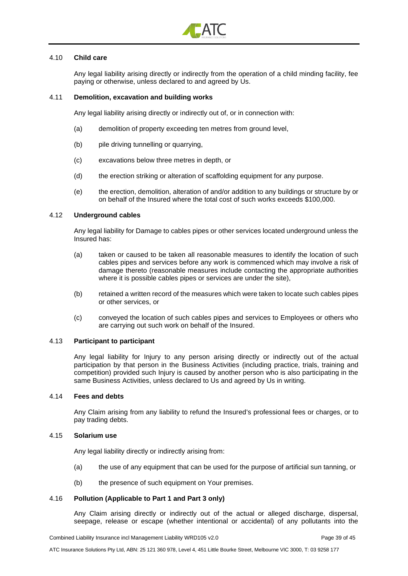

#### 4.10 **Child care**

Any legal liability arising directly or indirectly from the operation of a child minding facility, fee paying or otherwise, unless declared to and agreed by Us.

#### 4.11 **Demolition, excavation and building works**

Any legal liability arising directly or indirectly out of, or in connection with:

- (a) demolition of property exceeding ten metres from ground level,
- (b) pile driving tunnelling or quarrying,
- (c) excavations below three metres in depth, or
- (d) the erection striking or alteration of scaffolding equipment for any purpose.
- (e) the erection, demolition, alteration of and/or addition to any buildings or structure by or on behalf of the Insured where the total cost of such works exceeds \$100,000.

#### 4.12 **Underground cables**

Any legal liability for Damage to cables pipes or other services located underground unless the Insured has:

- (a) taken or caused to be taken all reasonable measures to identify the location of such cables pipes and services before any work is commenced which may involve a risk of damage thereto (reasonable measures include contacting the appropriate authorities where it is possible cables pipes or services are under the site),
- (b) retained a written record of the measures which were taken to locate such cables pipes or other services, or
- (c) conveyed the location of such cables pipes and services to Employees or others who are carrying out such work on behalf of the Insured.

#### 4.13 **Participant to participant**

Any legal liability for Injury to any person arising directly or indirectly out of the actual participation by that person in the Business Activities (including practice, trials, training and competition) provided such Injury is caused by another person who is also participating in the same Business Activities, unless declared to Us and agreed by Us in writing.

#### 4.14 **Fees and debts**

Any Claim arising from any liability to refund the Insured's professional fees or charges, or to pay trading debts.

#### 4.15 **Solarium use**

Any legal liability directly or indirectly arising from:

- (a) the use of any equipment that can be used for the purpose of artificial sun tanning, or
- (b) the presence of such equipment on Your premises.

#### 4.16 **Pollution (Applicable to Part 1 and Part 3 only)**

Any Claim arising directly or indirectly out of the actual or alleged discharge, dispersal, seepage, release or escape (whether intentional or accidental) of any pollutants into the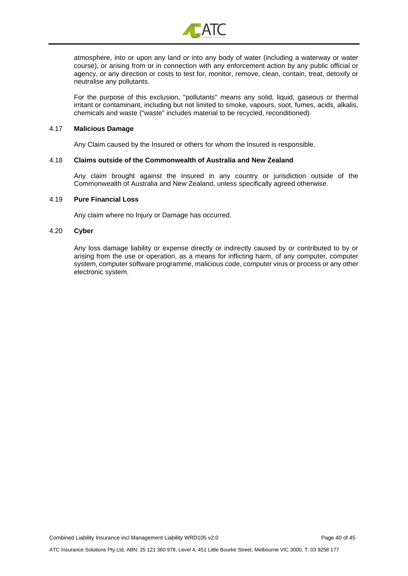

atmosphere, into or upon any land or into any body of water (including a waterway or water course), or arising from or in connection with any enforcement action by any public official or agency, or any direction or costs to test for, monitor, remove, clean, contain, treat, detoxify or neutralise any pollutants.

For the purpose of this exclusion, "pollutants" means any solid, liquid, gaseous or thermal irritant or contaminant, including but not limited to smoke, vapours, soot, fumes, acids, alkalis, chemicals and waste ("waste" includes material to be recycled, reconditioned).

#### 4.17 **Malicious Damage**

Any Claim caused by the Insured or others for whom the Insured is responsible.

#### 4.18 **Claims outside of the Commonwealth of Australia and New Zealand**

Any claim brought against the Insured in any country or jurisdiction outside of the Commonwealth of Australia and New Zealand, unless specifically agreed otherwise.

#### 4.19 **Pure Financial Loss**

Any claim where no Injury or Damage has occurred.

#### 4.20 **Cyber**

Any loss damage liability or expense directly or indirectly caused by or contributed to by or arising from the use or operation, as a means for inflicting harm, of any computer, computer system, computer software programme, malicious code, computer virus or process or any other electronic system.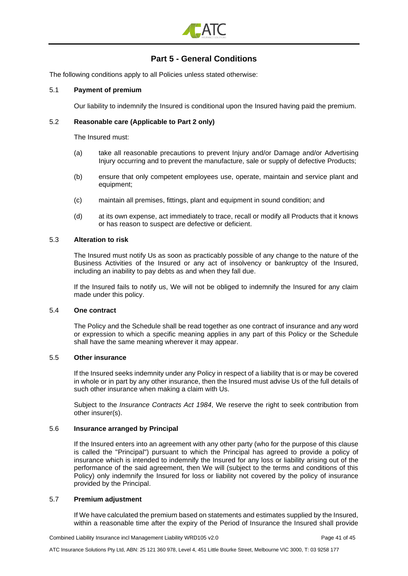

# **Part 5 - General Conditions**

<span id="page-40-0"></span>The following conditions apply to all Policies unless stated otherwise:

#### 5.1 **Payment of premium**

Our liability to indemnify the Insured is conditional upon the Insured having paid the premium.

#### 5.2 **Reasonable care (Applicable to Part 2 only)**

The Insured must:

- (a) take all reasonable precautions to prevent Injury and/or Damage and/or Advertising Injury occurring and to prevent the manufacture, sale or supply of defective Products;
- (b) ensure that only competent employees use, operate, maintain and service plant and equipment;
- (c) maintain all premises, fittings, plant and equipment in sound condition; and
- (d) at its own expense, act immediately to trace, recall or modify all Products that it knows or has reason to suspect are defective or deficient.

#### 5.3 **Alteration to risk**

The Insured must notify Us as soon as practicably possible of any change to the nature of the Business Activities of the Insured or any act of insolvency or bankruptcy of the Insured, including an inability to pay debts as and when they fall due.

If the Insured fails to notify us, We will not be obliged to indemnify the Insured for any claim made under this policy.

#### 5.4 **One contract**

The Policy and the Schedule shall be read together as one contract of insurance and any word or expression to which a specific meaning applies in any part of this Policy or the Schedule shall have the same meaning wherever it may appear.

#### 5.5 **Other insurance**

If the Insured seeks indemnity under any Policy in respect of a liability that is or may be covered in whole or in part by any other insurance, then the Insured must advise Us of the full details of such other insurance when making a claim with Us.

Subject to the *Insurance Contracts Act 1984*, We reserve the right to seek contribution from other insurer(s).

## 5.6 **Insurance arranged by Principal**

If the Insured enters into an agreement with any other party (who for the purpose of this clause is called the "Principal") pursuant to which the Principal has agreed to provide a policy of insurance which is intended to indemnify the Insured for any loss or liability arising out of the performance of the said agreement, then We will (subject to the terms and conditions of this Policy) only indemnify the Insured for loss or liability not covered by the policy of insurance provided by the Principal.

#### 5.7 **Premium adjustment**

If We have calculated the premium based on statements and estimates supplied by the Insured, within a reasonable time after the expiry of the Period of Insurance the Insured shall provide

Combined Liability Insurance incl Management Liability WRD105 v2.0 Page 41 of 45

ATC Insurance Solutions Pty Ltd, ABN: 25 121 360 978, Level 4, 451 Little Bourke Street, Melbourne VIC 3000, T: 03 9258 177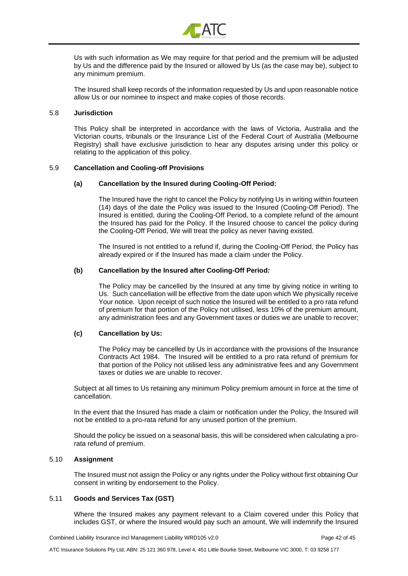

Us with such information as We may require for that period and the premium will be adjusted by Us and the difference paid by the Insured or allowed by Us (as the case may be), subject to any minimum premium.

The Insured shall keep records of the information requested by Us and upon reasonable notice allow Us or our nominee to inspect and make copies of those records.

#### 5.8 **Jurisdiction**

This Policy shall be interpreted in accordance with the laws of Victoria, Australia and the Victorian courts, tribunals or the Insurance List of the Federal Court of Australia (Melbourne Registry) shall have exclusive jurisdiction to hear any disputes arising under this policy or relating to the application of this policy.

#### 5.9 **Cancellation and Cooling-off Provisions**

#### **(a) Cancellation by the Insured during Cooling-Off Period:**

The Insured have the right to cancel the Policy by notifying Us in writing within fourteen (14) days of the date the Policy was issued to the Insured (Cooling-Off Period). The Insured is entitled, during the Cooling-Off Period, to a complete refund of the amount the Insured has paid for the Policy. If the Insured choose to cancel the policy during the Cooling-Off Period, We will treat the policy as never having existed.

The Insured is not entitled to a refund if, during the Cooling-Off Period, the Policy has already expired or if the Insured has made a claim under the Policy.

#### **(b) Cancellation by the Insured after Cooling-Off Period***:*

The Policy may be cancelled by the Insured at any time by giving notice in writing to Us. Such cancellation will be effective from the date upon which We physically receive Your notice. Upon receipt of such notice the Insured will be entitled to a pro rata refund of premium for that portion of the Policy not utilised, less 10% of the premium amount, any administration fees and any Government taxes or duties we are unable to recover;

#### **(c) Cancellation by Us:**

The Policy may be cancelled by Us in accordance with the provisions of the Insurance Contracts Act 1984. The Insured will be entitled to a pro rata refund of premium for that portion of the Policy not utilised less any administrative fees and any Government taxes or duties we are unable to recover.

Subject at all times to Us retaining any minimum Policy premium amount in force at the time of cancellation.

In the event that the Insured has made a claim or notification under the Policy, the Insured will not be entitled to a pro-rata refund for any unused portion of the premium.

Should the policy be issued on a seasonal basis, this will be considered when calculating a prorata refund of premium.

#### 5.10 **Assignment**

The Insured must not assign the Policy or any rights under the Policy without first obtaining Our consent in writing by endorsement to the Policy.

#### 5.11 **Goods and Services Tax (GST)**

Where the Insured makes any payment relevant to a Claim covered under this Policy that includes GST, or where the Insured would pay such an amount, We will indemnify the Insured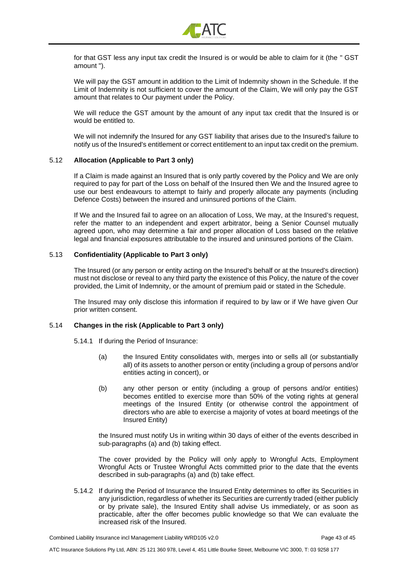

for that GST less any input tax credit the Insured is or would be able to claim for it (the " GST amount ").

We will pay the GST amount in addition to the Limit of Indemnity shown in the Schedule. If the Limit of Indemnity is not sufficient to cover the amount of the Claim, We will only pay the GST amount that relates to Our payment under the Policy.

We will reduce the GST amount by the amount of any input tax credit that the Insured is or would be entitled to.

We will not indemnify the Insured for any GST liability that arises due to the Insured's failure to notify us of the Insured's entitlement or correct entitlement to an input tax credit on the premium.

#### 5.12 **Allocation (Applicable to Part 3 only)**

If a Claim is made against an Insured that is only partly covered by the Policy and We are only required to pay for part of the Loss on behalf of the Insured then We and the Insured agree to use our best endeavours to attempt to fairly and properly allocate any payments (including Defence Costs) between the insured and uninsured portions of the Claim.

If We and the Insured fail to agree on an allocation of Loss, We may, at the Insured's request, refer the matter to an independent and expert arbitrator, being a Senior Counsel mutually agreed upon, who may determine a fair and proper allocation of Loss based on the relative legal and financial exposures attributable to the insured and uninsured portions of the Claim.

#### 5.13 **Confidentiality (Applicable to Part 3 only)**

The Insured (or any person or entity acting on the Insured's behalf or at the Insured's direction) must not disclose or reveal to any third party the existence of this Policy, the nature of the cover provided, the Limit of Indemnity, or the amount of premium paid or stated in the Schedule.

The Insured may only disclose this information if required to by law or if We have given Our prior written consent.

#### 5.14 **Changes in the risk (Applicable to Part 3 only)**

- 5.14.1 If during the Period of Insurance:
	- (a) the Insured Entity consolidates with, merges into or sells all (or substantially all) of its assets to another person or entity (including a group of persons and/or entities acting in concert), or
	- (b) any other person or entity (including a group of persons and/or entities) becomes entitled to exercise more than 50% of the voting rights at general meetings of the Insured Entity (or otherwise control the appointment of directors who are able to exercise a majority of votes at board meetings of the Insured Entity)

the Insured must notify Us in writing within 30 days of either of the events described in sub-paragraphs (a) and (b) taking effect.

The cover provided by the Policy will only apply to Wrongful Acts, Employment Wrongful Acts or Trustee Wrongful Acts committed prior to the date that the events described in sub-paragraphs (a) and (b) take effect.

5.14.2 If during the Period of Insurance the Insured Entity determines to offer its Securities in any jurisdiction, regardless of whether its Securities are currently traded (either publicly or by private sale), the Insured Entity shall advise Us immediately, or as soon as practicable, after the offer becomes public knowledge so that We can evaluate the increased risk of the Insured.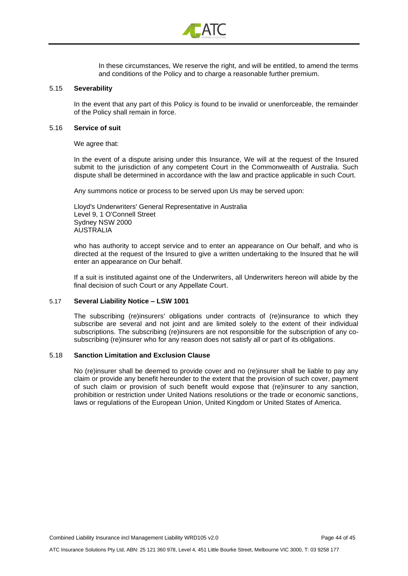

In these circumstances, We reserve the right, and will be entitled, to amend the terms and conditions of the Policy and to charge a reasonable further premium.

#### 5.15 **Severability**

In the event that any part of this Policy is found to be invalid or unenforceable, the remainder of the Policy shall remain in force.

#### 5.16 **Service of suit**

We agree that:

In the event of a dispute arising under this Insurance, We will at the request of the Insured submit to the jurisdiction of any competent Court in the Commonwealth of Australia. Such dispute shall be determined in accordance with the law and practice applicable in such Court.

Any summons notice or process to be served upon Us may be served upon:

Lloyd's Underwriters' General Representative in Australia Level 9, 1 O'Connell Street Sydney NSW 2000 AUSTRALIA

who has authority to accept service and to enter an appearance on Our behalf, and who is directed at the request of the Insured to give a written undertaking to the Insured that he will enter an appearance on Our behalf.

If a suit is instituted against one of the Underwriters, all Underwriters hereon will abide by the final decision of such Court or any Appellate Court.

#### 5.17 **Several Liability Notice – LSW 1001**

The subscribing (re)insurers' obligations under contracts of (re)insurance to which they subscribe are several and not joint and are limited solely to the extent of their individual subscriptions. The subscribing (re)insurers are not responsible for the subscription of any cosubscribing (re)insurer who for any reason does not satisfy all or part of its obligations.

#### 5.18 **Sanction Limitation and Exclusion Clause**

No (re)insurer shall be deemed to provide cover and no (re)insurer shall be liable to pay any claim or provide any benefit hereunder to the extent that the provision of such cover, payment of such claim or provision of such benefit would expose that (re)insurer to any sanction, prohibition or restriction under United Nations resolutions or the trade or economic sanctions, laws or regulations of the European Union, United Kingdom or United States of America.